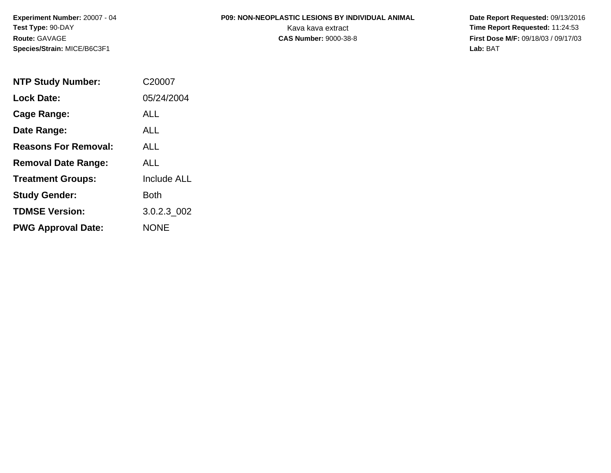### **P09: NON-NEOPLASTIC LESIONS BY INDIVIDUAL ANIMAL**

| <b>NTP Study Number:</b>    | C20007             |
|-----------------------------|--------------------|
| <b>Lock Date:</b>           | 05/24/2004         |
| Cage Range:                 | ALL                |
| Date Range:                 | AI I               |
| <b>Reasons For Removal:</b> | ALL.               |
| <b>Removal Date Range:</b>  | AI I               |
| <b>Treatment Groups:</b>    | <b>Include ALL</b> |
| <b>Study Gender:</b>        | Both               |
| <b>TDMSE Version:</b>       | 3.0.2.3 002        |
| <b>PWG Approval Date:</b>   | <b>NONE</b>        |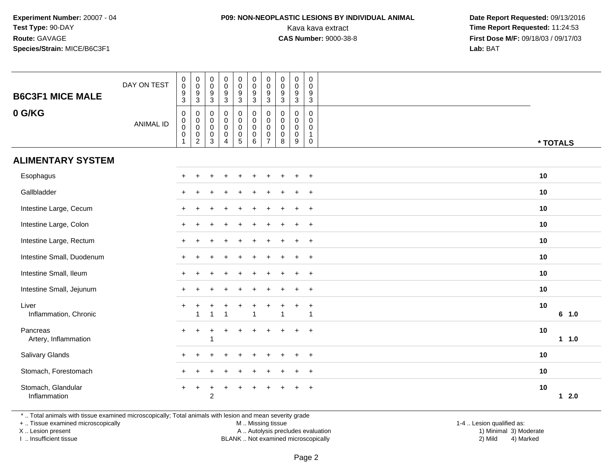## **P09: NON-NEOPLASTIC LESIONS BY INDIVIDUAL ANIMAL**

 **Date Report Requested:** 09/13/2016 Kava kava extract **Time Report Requested:** 11:24:53<br>**CAS Number:** 9000-38-8 **Time Report Requested:** 11:24:53 **First Dose M/F:** 09/18/03 / 09/17/03<br>**Lab:** BAT **Lab:** BAT

| <b>B6C3F1 MICE MALE</b>            | DAY ON TEST      | $\pmb{0}$<br>$\pmb{0}$<br>$\boldsymbol{9}$<br>$\overline{3}$                                  | $\pmb{0}$<br>$\pmb{0}$<br>$\boldsymbol{9}$<br>$\overline{3}$ | $\pmb{0}$<br>$\mathsf{O}\xspace$<br>$\boldsymbol{9}$<br>$\overline{3}$ | $\begin{array}{c} 0 \\ 0 \\ 9 \\ 3 \end{array}$            | $\pmb{0}$<br>$\mathbf 0$<br>$\frac{9}{3}$                            | $\boldsymbol{0}$<br>$\mathbf 0$<br>$9\,$<br>$\overline{3}$                     | $\pmb{0}$<br>$\pmb{0}$<br>9<br>3                        | $\pmb{0}$<br>$\mathbf 0$<br>$9\,$<br>$\mathbf{3}$ | $\pmb{0}$<br>$\mathbf 0$<br>$\boldsymbol{9}$<br>$\overline{3}$ | $\mathbf 0$<br>$\mathbf 0$<br>$\boldsymbol{9}$<br>$\overline{3}$ |    |                    |
|------------------------------------|------------------|-----------------------------------------------------------------------------------------------|--------------------------------------------------------------|------------------------------------------------------------------------|------------------------------------------------------------|----------------------------------------------------------------------|--------------------------------------------------------------------------------|---------------------------------------------------------|---------------------------------------------------|----------------------------------------------------------------|------------------------------------------------------------------|----|--------------------|
| 0 G/KG                             | <b>ANIMAL ID</b> | $\boldsymbol{0}$<br>$\begin{smallmatrix} 0\\0 \end{smallmatrix}$<br>$\pmb{0}$<br>$\mathbf{1}$ | 0<br>$\mathbf 0$<br>$\pmb{0}$<br>$\pmb{0}$<br>$\overline{c}$ | 0<br>$\mathbf 0$<br>$\mathbf 0$<br>$\pmb{0}$<br>$\mathbf{3}$           | $\pmb{0}$<br>0<br>$\pmb{0}$<br>$\pmb{0}$<br>$\overline{4}$ | $\pmb{0}$<br>$\overline{0}$<br>$\begin{array}{c} 0 \\ 5 \end{array}$ | $\pmb{0}$<br>$\ddot{\mathbf{0}}$<br>$\mathbf 0$<br>$\boldsymbol{0}$<br>$\,6\,$ | 0<br>$\mathbf{0}$<br>$\mathbf 0$<br>0<br>$\overline{7}$ | $\mathbf 0$<br>$\Omega$<br>$\mathbf 0$<br>0<br>8  | $\pmb{0}$<br>0<br>$\pmb{0}$<br>$\pmb{0}$<br>9                  | $\mathbf 0$<br>$\mathbf 0$<br>0<br>$\mathbf{1}$<br>$\mathbf 0$   |    | * TOTALS           |
| <b>ALIMENTARY SYSTEM</b>           |                  |                                                                                               |                                                              |                                                                        |                                                            |                                                                      |                                                                                |                                                         |                                                   |                                                                |                                                                  |    |                    |
| Esophagus                          |                  |                                                                                               |                                                              |                                                                        |                                                            |                                                                      |                                                                                |                                                         |                                                   |                                                                | $\overline{1}$                                                   | 10 |                    |
| Gallbladder                        |                  |                                                                                               |                                                              |                                                                        |                                                            |                                                                      |                                                                                |                                                         |                                                   | $\div$                                                         | $+$                                                              | 10 |                    |
| Intestine Large, Cecum             |                  |                                                                                               |                                                              |                                                                        |                                                            |                                                                      |                                                                                |                                                         |                                                   | $\ddot{}$                                                      | $+$                                                              | 10 |                    |
| Intestine Large, Colon             |                  |                                                                                               |                                                              |                                                                        |                                                            |                                                                      |                                                                                |                                                         |                                                   | $\div$                                                         | $\overline{+}$                                                   | 10 |                    |
| Intestine Large, Rectum            |                  |                                                                                               |                                                              |                                                                        |                                                            |                                                                      |                                                                                |                                                         |                                                   | $\ddot{}$                                                      | $+$                                                              | 10 |                    |
| Intestine Small, Duodenum          |                  |                                                                                               |                                                              |                                                                        |                                                            |                                                                      |                                                                                |                                                         |                                                   |                                                                | $\overline{+}$                                                   | 10 |                    |
| Intestine Small, Ileum             |                  |                                                                                               |                                                              |                                                                        |                                                            |                                                                      |                                                                                |                                                         |                                                   |                                                                | $\ddot{}$                                                        | 10 |                    |
| Intestine Small, Jejunum           |                  |                                                                                               |                                                              |                                                                        |                                                            |                                                                      |                                                                                |                                                         |                                                   |                                                                | $+$                                                              | 10 |                    |
| Liver<br>Inflammation, Chronic     |                  |                                                                                               | 1                                                            |                                                                        |                                                            |                                                                      | -1                                                                             |                                                         |                                                   |                                                                | +<br>$\overline{1}$                                              | 10 | 6 1.0              |
| Pancreas<br>Artery, Inflammation   |                  |                                                                                               | $\ddot{}$                                                    |                                                                        |                                                            |                                                                      |                                                                                |                                                         |                                                   |                                                                | $\ddot{}$                                                        | 10 | $1 1.0$            |
| Salivary Glands                    |                  | ÷                                                                                             | $\div$                                                       |                                                                        |                                                            |                                                                      |                                                                                |                                                         |                                                   | $\div$                                                         | $+$                                                              | 10 |                    |
| Stomach, Forestomach               |                  |                                                                                               |                                                              |                                                                        |                                                            |                                                                      |                                                                                |                                                         |                                                   |                                                                | $\ddot{}$                                                        | 10 |                    |
| Stomach, Glandular<br>Inflammation |                  | $+$                                                                                           | $\ddot{}$                                                    | ÷<br>$\overline{c}$                                                    | $\ddot{}$                                                  | +                                                                    |                                                                                |                                                         |                                                   | $\div$                                                         | $+$                                                              | 10 | 2.0<br>$\mathbf 1$ |

\* .. Total animals with tissue examined microscopically; Total animals with lesion and mean severity grade

+ .. Tissue examined microscopically

X .. Lesion present

I .. Insufficient tissue

M .. Missing tissue

Lesion present A .. Autolysis precludes evaluation 1) Minimal 3) Moderate

1-4 .. Lesion qualified as:<br>1) Minimal 3) Moderate BLANK .. Not examined microscopically 2) Mild 4) Marked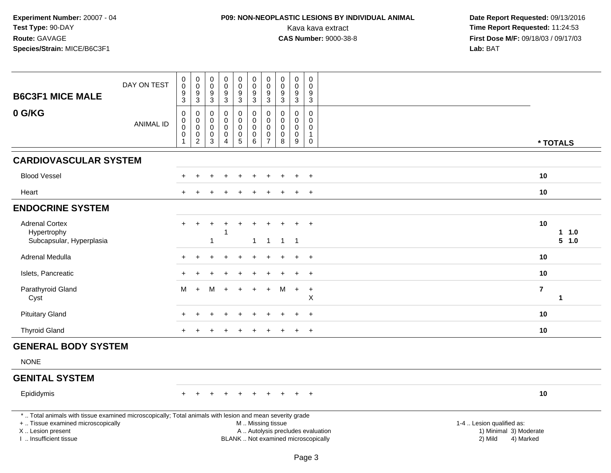# **P09: NON-NEOPLASTIC LESIONS BY INDIVIDUAL ANIMAL**

| <b>B6C3F1 MICE MALE</b>                                                                                                                                                                       | DAY ON TEST      | $\pmb{0}$<br>$\mathsf{O}\xspace$<br>$\boldsymbol{9}$<br>$\mathbf{3}$          | $\pmb{0}$<br>$\mathbf 0$<br>9<br>$\sqrt{3}$            | $\pmb{0}$<br>$\mathbf 0$<br>$\boldsymbol{9}$<br>$\ensuremath{\mathsf{3}}$ | $\pmb{0}$<br>$\pmb{0}$<br>$\boldsymbol{9}$<br>$\mathbf{3}$     | $_{\rm 0}^{\rm 0}$<br>$\boldsymbol{9}$<br>$\mathfrak{S}$              | $\pmb{0}$<br>$\mathbf 0$<br>$\boldsymbol{9}$<br>$\sqrt{3}$    | $\pmb{0}$<br>$\pmb{0}$<br>$9\,$<br>$\mathbf{3}$                   | $\pmb{0}$<br>$\mathbf 0$<br>9<br>$\mathbf 3$            | $\pmb{0}$<br>$\pmb{0}$<br>$\boldsymbol{9}$<br>$\ensuremath{\mathsf{3}}$            | $\mathsf 0$<br>$\Omega$<br>9<br>$\mathbf{3}$                                  |                                      |                                     |
|-----------------------------------------------------------------------------------------------------------------------------------------------------------------------------------------------|------------------|-------------------------------------------------------------------------------|--------------------------------------------------------|---------------------------------------------------------------------------|----------------------------------------------------------------|-----------------------------------------------------------------------|---------------------------------------------------------------|-------------------------------------------------------------------|---------------------------------------------------------|------------------------------------------------------------------------------------|-------------------------------------------------------------------------------|--------------------------------------|-------------------------------------|
| 0 G/KG                                                                                                                                                                                        | <b>ANIMAL ID</b> | $\mathbf 0$<br>$\pmb{0}$<br>$\boldsymbol{0}$<br>$\mathbf 0$<br>$\overline{1}$ | $\mathbf 0$<br>0<br>$\mathsf 0$<br>0<br>$\overline{c}$ | $\Omega$<br>$\mathbf 0$<br>$\mathbf 0$<br>0<br>3                          | 0<br>$\mathbf 0$<br>$\mathsf 0$<br>$\pmb{0}$<br>$\overline{4}$ | $\Omega$<br>$\mathbf 0$<br>$\mathbf 0$<br>$\pmb{0}$<br>$\overline{5}$ | $\mathbf 0$<br>$\pmb{0}$<br>$\pmb{0}$<br>$\pmb{0}$<br>$\,6\,$ | $\mathbf{0}$<br>$\mathbf 0$<br>$\mathbf 0$<br>0<br>$\overline{7}$ | $\Omega$<br>$\Omega$<br>$\mathbf 0$<br>$\mathbf 0$<br>8 | $\mathbf 0$<br>$\mathsf{O}\xspace$<br>$\mathbf 0$<br>$\pmb{0}$<br>$\boldsymbol{9}$ | $\Omega$<br>$\mathbf 0$<br>$\mathbf 0$<br>$\mathbf{1}$<br>$\mathsf{O}\xspace$ |                                      | * TOTALS                            |
| <b>CARDIOVASCULAR SYSTEM</b>                                                                                                                                                                  |                  |                                                                               |                                                        |                                                                           |                                                                |                                                                       |                                                               |                                                                   |                                                         |                                                                                    |                                                                               |                                      |                                     |
| <b>Blood Vessel</b>                                                                                                                                                                           |                  |                                                                               |                                                        |                                                                           |                                                                |                                                                       |                                                               |                                                                   |                                                         |                                                                                    |                                                                               |                                      | 10                                  |
| Heart                                                                                                                                                                                         |                  |                                                                               |                                                        |                                                                           |                                                                |                                                                       |                                                               |                                                                   |                                                         |                                                                                    |                                                                               |                                      | 10                                  |
| <b>ENDOCRINE SYSTEM</b>                                                                                                                                                                       |                  |                                                                               |                                                        |                                                                           |                                                                |                                                                       |                                                               |                                                                   |                                                         |                                                                                    |                                                                               |                                      |                                     |
| <b>Adrenal Cortex</b><br>Hypertrophy<br>Subcapsular, Hyperplasia                                                                                                                              |                  | $+$                                                                           | $\ddot{}$                                              | 1                                                                         | 1                                                              |                                                                       | $\mathbf{1}$                                                  | $\mathbf{1}$                                                      | $\overline{1}$                                          | $\ddot{}$<br>$\overline{1}$                                                        | $+$                                                                           |                                      | 10<br>1 1.0<br>5 1.0                |
| Adrenal Medulla                                                                                                                                                                               |                  |                                                                               |                                                        |                                                                           |                                                                |                                                                       |                                                               |                                                                   |                                                         | $\div$                                                                             | $+$                                                                           |                                      | 10                                  |
| Islets, Pancreatic                                                                                                                                                                            |                  |                                                                               |                                                        |                                                                           |                                                                |                                                                       |                                                               |                                                                   |                                                         | $\ddot{}$                                                                          | $\overline{+}$                                                                |                                      | 10                                  |
| Parathyroid Gland<br>Cyst                                                                                                                                                                     |                  | м                                                                             | $+$                                                    | м                                                                         |                                                                |                                                                       |                                                               |                                                                   | м                                                       | $+$                                                                                | $\ddot{}$<br>Χ                                                                |                                      | $\overline{7}$<br>$\mathbf{1}$      |
| <b>Pituitary Gland</b>                                                                                                                                                                        |                  |                                                                               |                                                        |                                                                           |                                                                |                                                                       |                                                               |                                                                   |                                                         |                                                                                    | $+$                                                                           |                                      | 10                                  |
| <b>Thyroid Gland</b>                                                                                                                                                                          |                  |                                                                               |                                                        |                                                                           |                                                                |                                                                       |                                                               |                                                                   |                                                         | $\ddot{}$                                                                          | $\div$                                                                        |                                      | 10                                  |
| <b>GENERAL BODY SYSTEM</b>                                                                                                                                                                    |                  |                                                                               |                                                        |                                                                           |                                                                |                                                                       |                                                               |                                                                   |                                                         |                                                                                    |                                                                               |                                      |                                     |
| <b>NONE</b>                                                                                                                                                                                   |                  |                                                                               |                                                        |                                                                           |                                                                |                                                                       |                                                               |                                                                   |                                                         |                                                                                    |                                                                               |                                      |                                     |
| <b>GENITAL SYSTEM</b>                                                                                                                                                                         |                  |                                                                               |                                                        |                                                                           |                                                                |                                                                       |                                                               |                                                                   |                                                         |                                                                                    |                                                                               |                                      |                                     |
| Epididymis                                                                                                                                                                                    |                  |                                                                               |                                                        |                                                                           |                                                                |                                                                       |                                                               |                                                                   |                                                         |                                                                                    | $\ddot{}$                                                                     |                                      | 10                                  |
| *  Total animals with tissue examined microscopically; Total animals with lesion and mean severity grade<br>+  Tissue examined microscopically<br>X  Lesion present<br>I. Insufficient tissue |                  |                                                                               |                                                        |                                                                           |                                                                |                                                                       | M  Missing tissue                                             |                                                                   |                                                         |                                                                                    | A  Autolysis precludes evaluation<br>BLANK  Not examined microscopically      | 1-4  Lesion qualified as:<br>2) Mild | 1) Minimal 3) Moderate<br>4) Marked |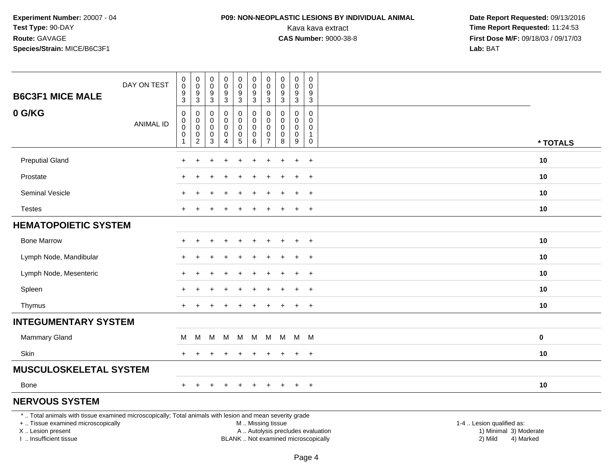## **P09: NON-NEOPLASTIC LESIONS BY INDIVIDUAL ANIMAL**

 **Date Report Requested:** 09/13/2016 Kava kava extract **Time Report Requested:** 11:24:53<br>**CAS Number:** 9000-38-8 **Time Report Requested:** 11:24:53 **First Dose M/F:** 09/18/03 / 09/17/03<br>**Lab:** BAT **Lab:** BAT

| <b>B6C3F1 MICE MALE</b>                                                                                  | DAY ON TEST      | $\pmb{0}$<br>$\,0\,$<br>$\boldsymbol{9}$<br>$\ensuremath{\mathsf{3}}$ | 0<br>$\pmb{0}$<br>9<br>$\sqrt{3}$    | 0<br>0<br>9<br>$\sqrt{3}$ | $\pmb{0}$<br>$\pmb{0}$<br>$\frac{9}{3}$    | 0<br>$\mathbf 0$<br>$\frac{9}{3}$                                   | $\mathbf 0$<br>$\pmb{0}$<br>$\frac{9}{3}$ | 0<br>0<br>9<br>$\mathbf{3}$               | $\pmb{0}$<br>0<br>9<br>$\ensuremath{\mathsf{3}}$ | 0<br>$\mathbf 0$<br>9<br>$\mathbf{3}$ | 0<br>0<br>9<br>$\mathbf{3}$  |          |
|----------------------------------------------------------------------------------------------------------|------------------|-----------------------------------------------------------------------|--------------------------------------|---------------------------|--------------------------------------------|---------------------------------------------------------------------|-------------------------------------------|-------------------------------------------|--------------------------------------------------|---------------------------------------|------------------------------|----------|
| 0 G/KG                                                                                                   | <b>ANIMAL ID</b> | 0<br>0<br>$\pmb{0}$<br>$\pmb{0}$<br>$\mathbf{1}$                      | 0<br>0<br>0<br>0<br>$\boldsymbol{2}$ | 0<br>0<br>0<br>0<br>3     | 0<br>0<br>0<br>$\pmb{0}$<br>$\overline{4}$ | 0<br>0<br>$\boldsymbol{0}$<br>$\begin{array}{c} 0 \\ 5 \end{array}$ | 0<br>0<br>0<br>$\overline{0}$<br>$\,6\,$  | 0<br>$\Omega$<br>0<br>0<br>$\overline{7}$ | 0<br>$\Omega$<br>0<br>0<br>8                     | 0<br>0<br>0<br>0<br>9                 | 0<br>$\Omega$<br>0<br>1<br>0 | * TOTALS |
| <b>Preputial Gland</b>                                                                                   |                  |                                                                       |                                      |                           |                                            |                                                                     |                                           |                                           |                                                  | $\ddot{}$                             | $\ddot{}$                    | 10       |
| Prostate                                                                                                 |                  |                                                                       |                                      |                           |                                            |                                                                     |                                           |                                           |                                                  | $\ddot{}$                             | $+$                          | 10       |
| Seminal Vesicle                                                                                          |                  |                                                                       |                                      |                           |                                            |                                                                     |                                           |                                           |                                                  |                                       | $\overline{+}$               | 10       |
| <b>Testes</b>                                                                                            |                  |                                                                       |                                      |                           |                                            |                                                                     |                                           |                                           |                                                  | $\ddot{}$                             | $+$                          | 10       |
| <b>HEMATOPOIETIC SYSTEM</b>                                                                              |                  |                                                                       |                                      |                           |                                            |                                                                     |                                           |                                           |                                                  |                                       |                              |          |
| <b>Bone Marrow</b>                                                                                       |                  |                                                                       |                                      | $\ddot{}$                 | $\pm$                                      | $\pm$                                                               | $\pm$                                     | $\pm$                                     | $\div$                                           | $\overline{+}$                        | $+$                          | 10       |
| Lymph Node, Mandibular                                                                                   |                  |                                                                       |                                      |                           |                                            |                                                                     |                                           |                                           |                                                  |                                       | $\overline{+}$               | 10       |
| Lymph Node, Mesenteric                                                                                   |                  |                                                                       |                                      |                           |                                            |                                                                     |                                           |                                           |                                                  |                                       | $+$                          | 10       |
| Spleen                                                                                                   |                  |                                                                       |                                      |                           |                                            |                                                                     |                                           |                                           |                                                  |                                       | $\ddot{}$                    | 10       |
| Thymus                                                                                                   |                  | $+$                                                                   | $\ddot{}$                            | $\pm$                     | $+$                                        | $+$                                                                 | $+$                                       | $\ddot{}$                                 | $\pm$                                            | $+$                                   | $+$                          | 10       |
| <b>INTEGUMENTARY SYSTEM</b>                                                                              |                  |                                                                       |                                      |                           |                                            |                                                                     |                                           |                                           |                                                  |                                       |                              |          |
| <b>Mammary Gland</b>                                                                                     |                  | М                                                                     | M                                    | м                         | M                                          | M                                                                   | M                                         | M                                         |                                                  |                                       | M M M                        | 0        |
| Skin                                                                                                     |                  |                                                                       |                                      |                           | $\pm$                                      | $\pm$                                                               | $\div$                                    | $\pm$                                     |                                                  | $\ddot{}$                             | $+$                          | 10       |
| <b>MUSCULOSKELETAL SYSTEM</b>                                                                            |                  |                                                                       |                                      |                           |                                            |                                                                     |                                           |                                           |                                                  |                                       |                              |          |
| Bone                                                                                                     |                  | $+$                                                                   | $\ddot{}$                            | $\ddot{}$                 | $\ddot{}$                                  | $\ddot{}$                                                           | $\ddot{}$                                 | $\ddot{}$                                 | $\ddot{}$                                        | $+$                                   | $+$                          | 10       |
| <b>NERVOUS SYSTEM</b>                                                                                    |                  |                                                                       |                                      |                           |                                            |                                                                     |                                           |                                           |                                                  |                                       |                              |          |
| *  Total animals with tissue examined microscopically; Total animals with lesion and mean severity grade |                  |                                                                       |                                      |                           |                                            |                                                                     |                                           |                                           |                                                  |                                       |                              |          |

+ .. Tissue examined microscopically

X .. Lesion present

I .. Insufficient tissue

M .. Missing tissue

BLANK .. Not examined microscopically

1-4 .. Lesion qualified as:<br>1) Minimal 3) Moderate A .. Autolysis precludes evaluation 19 and 10 minimal 3) Moderate 1 and 20 minimal 3) Moderate 19 minimal 3) Moderat<br>19 and 19 and 19 and 19 and 19 and 19 and 19 and 19 and 19 and 19 and 19 and 19 and 19 and 19 and 19 and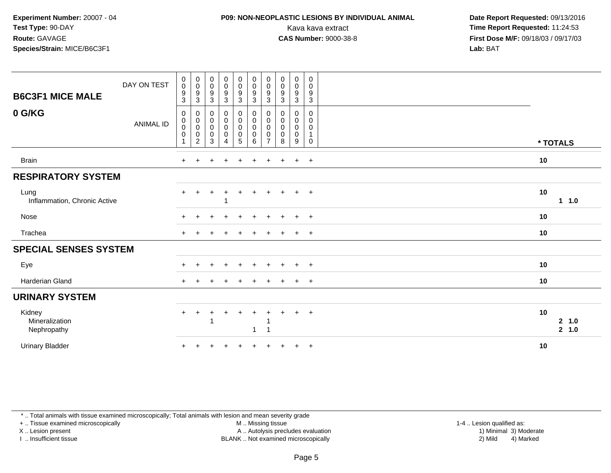## **P09: NON-NEOPLASTIC LESIONS BY INDIVIDUAL ANIMAL**

 **Date Report Requested:** 09/13/2016 Kava kava extract **Time Report Requested:** 11:24:53<br>**CAS Number:** 9000-38-8 **Time Report Requested:** 11:24:53 **First Dose M/F:** 09/18/03 / 09/17/03<br>**Lab:** BAT **Lab:** BAT

| <b>B6C3F1 MICE MALE</b>                 | DAY ON TEST      | $\boldsymbol{0}$<br>$\pmb{0}$<br>$\boldsymbol{9}$<br>3 | $\begin{array}{c} 0 \\ 0 \\ 9 \\ 3 \end{array}$        | $\begin{array}{c} 0 \\ 0 \\ 9 \\ 3 \end{array}$                    | $\begin{array}{c} 0 \\ 0 \\ 9 \\ 3 \end{array}$                 | $\begin{smallmatrix} 0\\0 \end{smallmatrix}$<br>$\frac{9}{3}$ | $\begin{smallmatrix} 0\\0 \end{smallmatrix}$<br>9<br>$\sqrt{3}$ | $\pmb{0}$<br>$\mathbf 0$<br>9<br>$\mathbf{3}$ | $\begin{array}{c} 0 \\ 0 \\ 9 \\ 3 \end{array}$ | $\pmb{0}$<br>$\pmb{0}$<br>$\frac{9}{3}$                           | $\pmb{0}$<br>$\mathbf 0$<br>9<br>$\sqrt{3}$                              |          |                 |
|-----------------------------------------|------------------|--------------------------------------------------------|--------------------------------------------------------|--------------------------------------------------------------------|-----------------------------------------------------------------|---------------------------------------------------------------|-----------------------------------------------------------------|-----------------------------------------------|-------------------------------------------------|-------------------------------------------------------------------|--------------------------------------------------------------------------|----------|-----------------|
| 0 G/KG                                  | <b>ANIMAL ID</b> | $\mathbf 0$<br>$\mathbf 0$<br>$\pmb{0}$<br>$\pmb{0}$   | 0<br>$_{\rm 0}^{\rm 0}$<br>$\pmb{0}$<br>$\overline{2}$ | $\mathbf 0$<br>$\begin{matrix}0\\0\\0\end{matrix}$<br>$\mathbf{3}$ | $\begin{smallmatrix}0\0\0\0\end{smallmatrix}$<br>$\overline{4}$ | $\pmb{0}$<br>$\overline{0}$<br>$\pmb{0}$<br>$\overline{5}$    | 0<br>$\pmb{0}$<br>$\pmb{0}$<br>0<br>6                           | 0<br>0<br>$\pmb{0}$<br>0<br>$\overline{7}$    | 0<br>$_{\rm 0}^{\rm 0}$<br>$\pmb{0}$<br>8       | 0<br>$\mathbf 0$<br>$\mathsf{O}$<br>$\pmb{0}$<br>$\boldsymbol{9}$ | $\mathbf 0$<br>$\mathbf 0$<br>$\mathbf 0$<br>$\mathbf{1}$<br>$\mathbf 0$ | * TOTALS |                 |
| <b>Brain</b>                            |                  | $\ddot{}$                                              |                                                        |                                                                    | $\ddot{}$                                                       |                                                               |                                                                 | $\ddot{}$                                     | $\ddot{}$                                       | $+$                                                               | $+$                                                                      | 10       |                 |
| <b>RESPIRATORY SYSTEM</b>               |                  |                                                        |                                                        |                                                                    |                                                                 |                                                               |                                                                 |                                               |                                                 |                                                                   |                                                                          |          |                 |
| Lung<br>Inflammation, Chronic Active    |                  | $\ddot{}$                                              |                                                        | $\ddot{}$                                                          | ٠                                                               | ÷.                                                            |                                                                 | ÷.                                            | $+$                                             | $+$                                                               | $+$                                                                      | 10       | 1 1.0           |
| Nose                                    |                  | $+$                                                    | $+$                                                    | $\overline{+}$                                                     | $+$                                                             | $\ddot{}$                                                     | $+$                                                             | $+$                                           | $\overline{+}$                                  | $+$                                                               | $+$                                                                      | 10       |                 |
| Trachea                                 |                  |                                                        |                                                        |                                                                    |                                                                 |                                                               |                                                                 |                                               |                                                 | $\pm$                                                             | $+$                                                                      | 10       |                 |
| <b>SPECIAL SENSES SYSTEM</b>            |                  |                                                        |                                                        |                                                                    |                                                                 |                                                               |                                                                 |                                               |                                                 |                                                                   |                                                                          |          |                 |
| Eye                                     |                  | $\div$                                                 |                                                        | $\ddot{}$                                                          | $\div$                                                          |                                                               |                                                                 | ÷                                             | $\pm$                                           | $+$                                                               | $+$                                                                      | 10       |                 |
| Harderian Gland                         |                  | $\pm$                                                  |                                                        |                                                                    |                                                                 |                                                               |                                                                 |                                               |                                                 | $\ddot{}$                                                         | $+$                                                                      | 10       |                 |
| <b>URINARY SYSTEM</b>                   |                  |                                                        |                                                        |                                                                    |                                                                 |                                                               |                                                                 |                                               |                                                 |                                                                   |                                                                          |          |                 |
| Kidney<br>Mineralization<br>Nephropathy |                  | $\ddot{}$                                              | $\ddot{}$                                              | +                                                                  | $\ddot{}$                                                       | $\ddot{}$                                                     | $\mathbf 1$                                                     |                                               | $\div$                                          | $\ddot{}$                                                         | $+$                                                                      | 10       | 2, 1.0<br>2 1.0 |
| <b>Urinary Bladder</b>                  |                  | $\ddot{}$                                              |                                                        |                                                                    |                                                                 |                                                               |                                                                 |                                               |                                                 | $\ddot{}$                                                         | $+$                                                                      | 10       |                 |

\* .. Total animals with tissue examined microscopically; Total animals with lesion and mean severity grade

+ .. Tissue examined microscopically

X .. Lesion present

I .. Insufficient tissue

M .. Missing tissue

 Lesion present A .. Autolysis precludes evaluation 1) Minimal 3) ModerateBLANK .. Not examined microscopically 2) Mild 4) Marked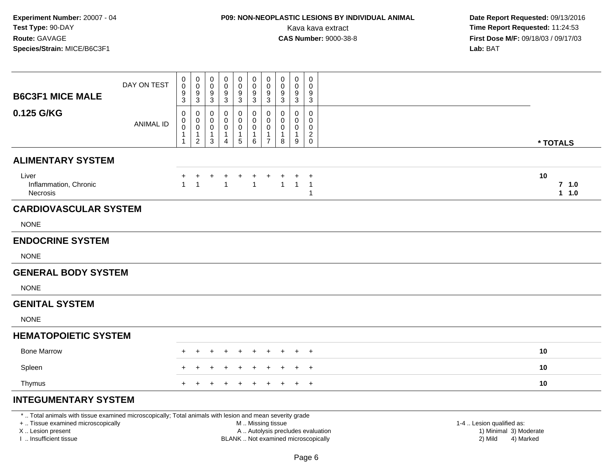# **P09: NON-NEOPLASTIC LESIONS BY INDIVIDUAL ANIMAL**

 **Date Report Requested:** 09/13/2016 Kava kava extract **Time Report Requested:** 11:24:53<br>**CAS Number:** 9000-38-8 **Time Report Requested:** 11:24:53 **First Dose M/F:** 09/18/03 / 09/17/03<br>**Lab:** BAT **Lab:** BAT

|                                                                                                         |                  | 0                | $\pmb{0}$                       | 0                 | 0              | $\mathbf 0$       | $\pmb{0}$         | $\mathbf 0$                    | $\mathbf 0$  | $\mathbf 0$      | 0                             |                  |
|---------------------------------------------------------------------------------------------------------|------------------|------------------|---------------------------------|-------------------|----------------|-------------------|-------------------|--------------------------------|--------------|------------------|-------------------------------|------------------|
|                                                                                                         | DAY ON TEST      | $\mathbf 0$<br>9 | $\mathbf 0$<br>$\boldsymbol{9}$ | 0<br>9            | 9              | $\mathbf 0$<br>9  | $\mathbf 0$<br>9  | $\mathbf 0$<br>9               | 0<br>9       | 0<br>9           | $\Omega$<br>9                 |                  |
| <b>B6C3F1 MICE MALE</b>                                                                                 |                  | 3                | 3                               | 3                 | 3              | 3                 | 3                 | $\mathbf{3}$                   | 3            | 3                | 3                             |                  |
| 0.125 G/KG                                                                                              |                  | 0<br>0           | 0<br>0                          | 0<br>0            | 0              | 0<br>$\mathbf 0$  | 0<br>0            | $\mathbf 0$<br>$\mathbf{0}$    | 0<br>0       | $\mathbf 0$<br>0 | 0<br>0                        |                  |
|                                                                                                         | <b>ANIMAL ID</b> | $\mathbf 0$      | 0                               | 0                 | 0              | $\pmb{0}$         | $\pmb{0}$         | $\mathbf 0$                    | 0            | 0                | 0                             |                  |
|                                                                                                         |                  |                  | $\mathbf{1}$<br>2               | $\mathbf{1}$<br>3 | $\overline{4}$ | $\mathbf{1}$<br>5 | $\mathbf{1}$<br>6 | $\mathbf{1}$<br>$\overline{7}$ | 1<br>8       | $\mathbf 1$<br>9 | $\overline{c}$<br>$\mathbf 0$ | * TOTALS         |
| <b>ALIMENTARY SYSTEM</b>                                                                                |                  |                  |                                 |                   |                |                   |                   |                                |              |                  |                               |                  |
| Liver                                                                                                   |                  |                  |                                 |                   |                |                   |                   |                                |              |                  | $\ddot{}$                     | 10               |
| Inflammation, Chronic<br><b>Necrosis</b>                                                                |                  | $\mathbf{1}$     | $\overline{1}$                  |                   | 1              |                   | $\overline{1}$    |                                | $\mathbf{1}$ | $\overline{1}$   | $\overline{1}$<br>1           | $7$ 1.0<br>1 1.0 |
| <b>CARDIOVASCULAR SYSTEM</b>                                                                            |                  |                  |                                 |                   |                |                   |                   |                                |              |                  |                               |                  |
| <b>NONE</b>                                                                                             |                  |                  |                                 |                   |                |                   |                   |                                |              |                  |                               |                  |
| <b>ENDOCRINE SYSTEM</b>                                                                                 |                  |                  |                                 |                   |                |                   |                   |                                |              |                  |                               |                  |
| <b>NONE</b>                                                                                             |                  |                  |                                 |                   |                |                   |                   |                                |              |                  |                               |                  |
| <b>GENERAL BODY SYSTEM</b>                                                                              |                  |                  |                                 |                   |                |                   |                   |                                |              |                  |                               |                  |
| <b>NONE</b>                                                                                             |                  |                  |                                 |                   |                |                   |                   |                                |              |                  |                               |                  |
| <b>GENITAL SYSTEM</b>                                                                                   |                  |                  |                                 |                   |                |                   |                   |                                |              |                  |                               |                  |
| <b>NONE</b>                                                                                             |                  |                  |                                 |                   |                |                   |                   |                                |              |                  |                               |                  |
| <b>HEMATOPOIETIC SYSTEM</b>                                                                             |                  |                  |                                 |                   |                |                   |                   |                                |              |                  |                               |                  |
| <b>Bone Marrow</b>                                                                                      |                  |                  |                                 |                   |                |                   |                   |                                |              |                  | $\overline{+}$                | 10               |
| Spleen                                                                                                  |                  |                  |                                 |                   |                |                   |                   |                                |              |                  | $+$                           | 10               |
| Thymus                                                                                                  |                  |                  |                                 |                   |                |                   | $\ddot{}$         | $\ddot{}$                      | $\ddot{}$    | $+$              | $+$                           | 10               |
| <b>INTEGUMENTARY SYSTEM</b>                                                                             |                  |                  |                                 |                   |                |                   |                   |                                |              |                  |                               |                  |
| * Total animals with tissue examined microsconically: Total animals with lesion and mean severity grade |                  |                  |                                 |                   |                |                   |                   |                                |              |                  |                               |                  |

\* .. Total animals with tissue examined microscopically; Total animals with lesion and mean severity grade

+ .. Tissue examined microscopically

X .. Lesion present

I .. Insufficient tissue

M .. Missing tissue

- 
- BLANK .. Not examined microscopically

1-4 .. Lesion qualified as:<br>1) Minimal 3) Moderate A .. Autolysis precludes evaluation 19 and 10 minimal 3) Moderate 1 and 20 minimal 3) Moderate 19 minimal 3) Moderat<br>19 and 19 and 19 and 19 and 19 and 19 and 19 and 19 and 19 and 19 and 19 and 19 and 19 and 19 and 19 and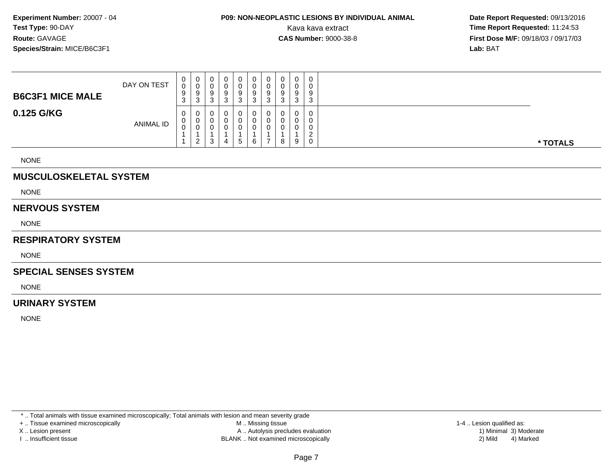# **P09: NON-NEOPLASTIC LESIONS BY INDIVIDUAL ANIMAL**

 **Date Report Requested:** 09/13/2016 Kava kava extract **Time Report Requested:** 11:24:53<br>**CAS Number:** 9000-38-8 **Time Report Requested:** 11:24:53 **First Dose M/F:** 09/18/03 / 09/17/03<br>**Lab:** BAT **Lab:** BAT

| <b>B6C3F1 MICE MALE</b> | DAY ON TEST      | 0<br>0<br>9<br>3 | 0<br>U<br>9<br>3               | U<br>◡<br>a<br>◡<br>3 | 0<br>0<br>9<br>3 |   | 0 | 0<br>0<br>9<br>3 | 0<br>0<br>9<br>3           | 0<br>0<br>9<br>3 | 0<br>0<br>9<br>3                      |          |
|-------------------------|------------------|------------------|--------------------------------|-----------------------|------------------|---|---|------------------|----------------------------|------------------|---------------------------------------|----------|
| 0.125 G/KG              | <b>ANIMAL ID</b> | 0<br>U<br>v      | 0<br>0<br>0<br>ົ<br>$\epsilon$ | U<br>◡<br>v<br>3      | 0<br>0<br>0      | G | 6 | 0<br>U<br>0      | $\mathbf 0$<br>0<br>0<br>8 | 0<br>0<br>0<br>9 | 0<br>0<br>0<br><sup>o</sup><br>∼<br>0 | * TOTALS |

NONE

### **MUSCULOSKELETAL SYSTEM**

NONE

#### **NERVOUS SYSTEM**

NONE

### **RESPIRATORY SYSTEM**

NONE

#### **SPECIAL SENSES SYSTEM**

NONE

### **URINARY SYSTEM**

NONE

\* .. Total animals with tissue examined microscopically; Total animals with lesion and mean severity grade

+ .. Tissue examined microscopically

X .. Lesion present

I .. Insufficient tissue

 M .. Missing tissueA .. Autolysis precludes evaluation

BLANK .. Not examined microscopically 2) Mild 4) Marked

1-4 .. Lesion qualified as: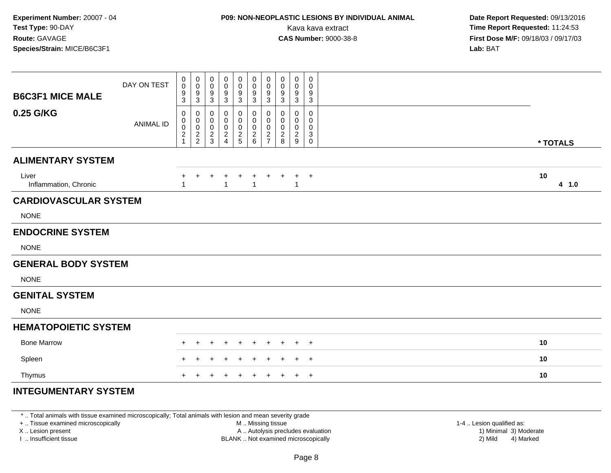# **P09: NON-NEOPLASTIC LESIONS BY INDIVIDUAL ANIMAL**

 **Date Report Requested:** 09/13/2016 Kava kava extract **Time Report Requested:** 11:24:53<br>**CAS Number:** 9000-38-8 **Time Report Requested:** 11:24:53 **First Dose M/F:** 09/18/03 / 09/17/03<br>**Lab:** BAT **Lab:** BAT

| <b>B6C3F1 MICE MALE</b>        | DAY ON TEST      | 0<br>0<br>9<br>3             | $\mathbf 0$<br>0<br>$\boldsymbol{9}$<br>$\mathbf{3}$   | $\boldsymbol{0}$<br>$\mathbf 0$<br>9<br>3   | 0<br>0<br>9<br>3                            | $\mathbf 0$<br>$\mathbf 0$<br>$\boldsymbol{9}$<br>$\mathbf{3}$ | $\mathbf 0$<br>0<br>9<br>3   | $\mathbf 0$<br>$\mathbf 0$<br>$9\,$<br>3 | 0<br>0<br>9<br>3                   | $\mathbf 0$<br>0<br>$9\,$<br>$\mathbf{3}$                   | $\mathbf 0$<br>0<br>9<br>3                       |             |
|--------------------------------|------------------|------------------------------|--------------------------------------------------------|---------------------------------------------|---------------------------------------------|----------------------------------------------------------------|------------------------------|------------------------------------------|------------------------------------|-------------------------------------------------------------|--------------------------------------------------|-------------|
| 0.25 G/KG                      | <b>ANIMAL ID</b> | 0<br>0<br>0<br>$\frac{2}{1}$ | 0<br>$\pmb{0}$<br>$\mathsf{O}\xspace$<br>$\frac{2}{2}$ | 0<br>0<br>$\boldsymbol{0}$<br>$\frac{2}{3}$ | 0<br>0<br>0<br>$\sqrt{2}$<br>$\overline{4}$ | $\pmb{0}$<br>$\mathbf 0$<br>$\pmb{0}$<br>$\frac{2}{5}$         | 0<br>0<br>0<br>$\frac{2}{6}$ | 0<br>$\mathbf 0$<br>0<br>$\frac{2}{7}$   | 0<br>0<br>0<br>$\overline{c}$<br>8 | $\mathbf 0$<br>0<br>0<br>$\overline{2}$<br>$\boldsymbol{9}$ | $\mathbf 0$<br>$\Omega$<br>$\mathbf 0$<br>3<br>0 | * TOTALS    |
| <b>ALIMENTARY SYSTEM</b>       |                  |                              |                                                        |                                             |                                             |                                                                |                              |                                          |                                    |                                                             |                                                  |             |
| Liver<br>Inflammation, Chronic |                  | $\mathbf{1}$                 | $\ddot{}$                                              | $\ddot{}$                                   | +<br>1                                      | $\ddot{}$                                                      | $\ddot{}$<br>$\overline{1}$  | $\ddot{}$                                | $\ddot{}$                          |                                                             | $+$                                              | 10<br>4 1.0 |
| <b>CARDIOVASCULAR SYSTEM</b>   |                  |                              |                                                        |                                             |                                             |                                                                |                              |                                          |                                    |                                                             |                                                  |             |
| <b>NONE</b>                    |                  |                              |                                                        |                                             |                                             |                                                                |                              |                                          |                                    |                                                             |                                                  |             |
| <b>ENDOCRINE SYSTEM</b>        |                  |                              |                                                        |                                             |                                             |                                                                |                              |                                          |                                    |                                                             |                                                  |             |
| <b>NONE</b>                    |                  |                              |                                                        |                                             |                                             |                                                                |                              |                                          |                                    |                                                             |                                                  |             |
| <b>GENERAL BODY SYSTEM</b>     |                  |                              |                                                        |                                             |                                             |                                                                |                              |                                          |                                    |                                                             |                                                  |             |
| <b>NONE</b>                    |                  |                              |                                                        |                                             |                                             |                                                                |                              |                                          |                                    |                                                             |                                                  |             |
| <b>GENITAL SYSTEM</b>          |                  |                              |                                                        |                                             |                                             |                                                                |                              |                                          |                                    |                                                             |                                                  |             |
| <b>NONE</b>                    |                  |                              |                                                        |                                             |                                             |                                                                |                              |                                          |                                    |                                                             |                                                  |             |
| <b>HEMATOPOIETIC SYSTEM</b>    |                  |                              |                                                        |                                             |                                             |                                                                |                              |                                          |                                    |                                                             |                                                  |             |
| <b>Bone Marrow</b>             |                  |                              |                                                        |                                             |                                             |                                                                | ÷                            |                                          | $\pm$                              |                                                             | $+$                                              | 10          |
| Spleen                         |                  |                              |                                                        | ÷                                           |                                             |                                                                | $\pm$                        | $\div$                                   | $\div$                             | $+$                                                         | $^{+}$                                           | 10          |
| Thymus                         |                  |                              |                                                        |                                             |                                             |                                                                | $\pm$                        | ÷                                        |                                    | $+$                                                         | $+$                                              | 10          |
| <b>INTEGUMENTARY SYSTEM</b>    |                  |                              |                                                        |                                             |                                             |                                                                |                              |                                          |                                    |                                                             |                                                  |             |

\* .. Total animals with tissue examined microscopically; Total animals with lesion and mean severity grade+ .. Tissue examined microscopically

X .. Lesion present

I .. Insufficient tissue

M .. Missing tissue

A .. Autolysis precludes evaluation

BLANK .. Not examined microscopically 2) Mild 4) Marked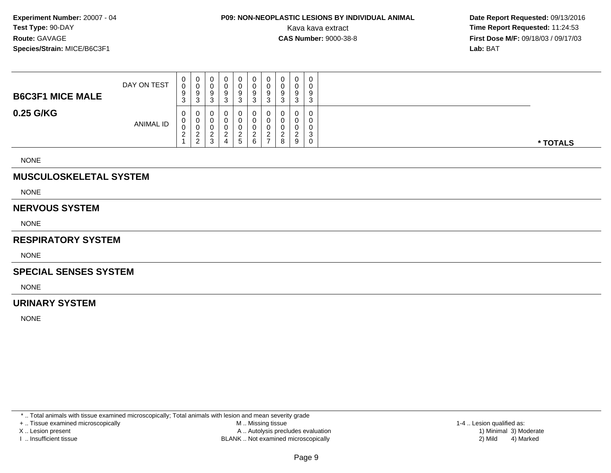## **P09: NON-NEOPLASTIC LESIONS BY INDIVIDUAL ANIMAL**

 **Date Report Requested:** 09/13/2016 Kava kava extract **Time Report Requested:** 11:24:53<br>**CAS Number:** 9000-38-8 **Time Report Requested:** 11:24:53 **First Dose M/F:** 09/18/03 / 09/17/03<br>**Lab:** BAT **Lab:** BAT

| <b>B6C3F1 MICE MALE</b> | DAY ON TEST      | 0<br>0<br>9<br>3      | 0<br>U<br>9<br>3                    | U<br>◡<br>u<br>◡<br>3 | 0<br>0<br>9<br>3      |   | 0 | 0<br>υ<br>9<br>3 | 0<br>0<br>9<br>3                | 0<br>0<br>9<br>3 | 0<br>0<br>9<br>3                |          |
|-------------------------|------------------|-----------------------|-------------------------------------|-----------------------|-----------------------|---|---|------------------|---------------------------------|------------------|---------------------------------|----------|
| 0.25 G/KG               | <b>ANIMAL ID</b> | 0<br>U<br>v<br>ົ<br>∠ | 0<br>0<br>U<br>n<br>ົ<br>$\epsilon$ | U<br>◡<br>◡<br>3      | 0<br>0<br>0<br>c<br>4 | G | 6 | 0<br>U<br>U      | $\mathbf 0$<br>0<br>0<br>ົ<br>8 | 0<br>0<br>0<br>9 | 0<br>0<br>0<br>$\sim$<br>ັ<br>0 | * TOTALS |

NONE

### **MUSCULOSKELETAL SYSTEM**

NONE

#### **NERVOUS SYSTEM**

NONE

### **RESPIRATORY SYSTEM**

NONE

#### **SPECIAL SENSES SYSTEM**

NONE

### **URINARY SYSTEM**

NONE

\* .. Total animals with tissue examined microscopically; Total animals with lesion and mean severity grade

+ .. Tissue examined microscopically

X .. Lesion present

I .. Insufficient tissue

 M .. Missing tissueA .. Autolysis precludes evaluation

 1-4 .. Lesion qualified as: BLANK .. Not examined microscopically 2) Mild 4) Marked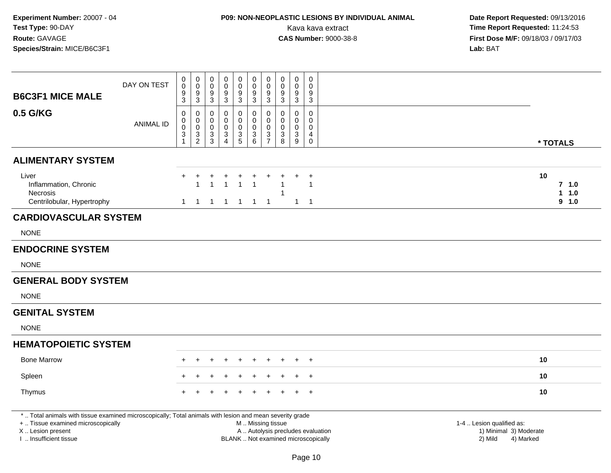# **P09: NON-NEOPLASTIC LESIONS BY INDIVIDUAL ANIMAL**

| <b>B6C3F1 MICE MALE</b>                                                                                                                                                                       | DAY ON TEST      | $\,0\,$<br>$\pmb{0}$<br>$\boldsymbol{9}$<br>3                | $\mathbf 0$<br>0<br>$\boldsymbol{9}$<br>$\mathbf{3}$ | $\pmb{0}$<br>$\mathbf 0$<br>9<br>3                  | 0<br>$\mathbf 0$<br>9<br>$\sqrt{3}$                         | $\pmb{0}$<br>$\pmb{0}$<br>$\overline{9}$<br>$\mathbf{3}$ | $\mathbf 0$<br>$\mathbf 0$<br>$\boldsymbol{9}$<br>$\mathbf{3}$ | $\pmb{0}$<br>$\pmb{0}$<br>$9\,$<br>$\mathbf{3}$        | 0<br>$\mathbf 0$<br>9<br>3                                               | $\mathbf 0$<br>$\mathbf 0$<br>9<br>$\mathbf{3}$  | 0<br>$\mathbf{0}$<br>9<br>3                         |                                                                             |                                        |
|-----------------------------------------------------------------------------------------------------------------------------------------------------------------------------------------------|------------------|--------------------------------------------------------------|------------------------------------------------------|-----------------------------------------------------|-------------------------------------------------------------|----------------------------------------------------------|----------------------------------------------------------------|--------------------------------------------------------|--------------------------------------------------------------------------|--------------------------------------------------|-----------------------------------------------------|-----------------------------------------------------------------------------|----------------------------------------|
| 0.5 G/KG                                                                                                                                                                                      | <b>ANIMAL ID</b> | $\mathbf 0$<br>$\pmb{0}$<br>$\mathbf 0$<br>3<br>$\mathbf{1}$ | 0<br>$\mathsf 0$<br>$\mathbf 0$<br>$\frac{3}{2}$     | $\mathbf 0$<br>$\mathbf 0$<br>$\mathbf 0$<br>3<br>3 | $\Omega$<br>0<br>$\mathbf 0$<br>3<br>$\boldsymbol{\Lambda}$ | 0<br>$\mathsf 0$<br>0<br>$\frac{3}{5}$                   | $\mathbf 0$<br>$\overline{0}$<br>0<br>$\frac{3}{6}$            | $\mathbf 0$<br>$\pmb{0}$<br>$\pmb{0}$<br>$\frac{3}{7}$ | $\Omega$<br>$\mathbf 0$<br>$\mathbf 0$<br>$\ensuremath{\mathsf{3}}$<br>8 | $\Omega$<br>$\mathbf 0$<br>$\mathbf 0$<br>3<br>9 | 0<br>$\mathbf 0$<br>$\mathbf 0$<br>4<br>$\mathsf 0$ |                                                                             | * TOTALS                               |
| <b>ALIMENTARY SYSTEM</b>                                                                                                                                                                      |                  |                                                              |                                                      |                                                     |                                                             |                                                          |                                                                |                                                        |                                                                          |                                                  |                                                     |                                                                             |                                        |
| Liver<br>Inflammation, Chronic<br>Necrosis<br>Centrilobular, Hypertrophy                                                                                                                      |                  | $\ddot{}$<br>1                                               | 1<br>$\overline{1}$                                  | $\mathbf{1}$<br>$\mathbf{1}$                        | $\overline{A}$<br>$\mathbf{1}$                              | $\overline{1}$<br>$\overline{1}$                         | $\overline{1}$<br>$\overline{1}$                               | $\overline{\phantom{0}}$ 1                             | $\mathbf{1}$<br>1                                                        |                                                  | $\ddot{}$<br>$\mathbf{1}$<br>$1 \quad 1$            |                                                                             | 10<br>$7$ 1.0<br>1.0<br>1<br>$9 - 1.0$ |
| <b>CARDIOVASCULAR SYSTEM</b>                                                                                                                                                                  |                  |                                                              |                                                      |                                                     |                                                             |                                                          |                                                                |                                                        |                                                                          |                                                  |                                                     |                                                                             |                                        |
| <b>NONE</b>                                                                                                                                                                                   |                  |                                                              |                                                      |                                                     |                                                             |                                                          |                                                                |                                                        |                                                                          |                                                  |                                                     |                                                                             |                                        |
| <b>ENDOCRINE SYSTEM</b>                                                                                                                                                                       |                  |                                                              |                                                      |                                                     |                                                             |                                                          |                                                                |                                                        |                                                                          |                                                  |                                                     |                                                                             |                                        |
| <b>NONE</b>                                                                                                                                                                                   |                  |                                                              |                                                      |                                                     |                                                             |                                                          |                                                                |                                                        |                                                                          |                                                  |                                                     |                                                                             |                                        |
| <b>GENERAL BODY SYSTEM</b>                                                                                                                                                                    |                  |                                                              |                                                      |                                                     |                                                             |                                                          |                                                                |                                                        |                                                                          |                                                  |                                                     |                                                                             |                                        |
| <b>NONE</b>                                                                                                                                                                                   |                  |                                                              |                                                      |                                                     |                                                             |                                                          |                                                                |                                                        |                                                                          |                                                  |                                                     |                                                                             |                                        |
| <b>GENITAL SYSTEM</b>                                                                                                                                                                         |                  |                                                              |                                                      |                                                     |                                                             |                                                          |                                                                |                                                        |                                                                          |                                                  |                                                     |                                                                             |                                        |
| <b>NONE</b>                                                                                                                                                                                   |                  |                                                              |                                                      |                                                     |                                                             |                                                          |                                                                |                                                        |                                                                          |                                                  |                                                     |                                                                             |                                        |
| <b>HEMATOPOIETIC SYSTEM</b>                                                                                                                                                                   |                  |                                                              |                                                      |                                                     |                                                             |                                                          |                                                                |                                                        |                                                                          |                                                  |                                                     |                                                                             |                                        |
| <b>Bone Marrow</b>                                                                                                                                                                            |                  |                                                              |                                                      |                                                     |                                                             |                                                          |                                                                |                                                        |                                                                          |                                                  | $\div$                                              |                                                                             | 10                                     |
| Spleen                                                                                                                                                                                        |                  |                                                              |                                                      |                                                     |                                                             |                                                          |                                                                |                                                        |                                                                          |                                                  | $+$                                                 |                                                                             | 10                                     |
| Thymus                                                                                                                                                                                        |                  |                                                              |                                                      |                                                     |                                                             |                                                          |                                                                |                                                        |                                                                          |                                                  | $+$                                                 |                                                                             | 10                                     |
| *  Total animals with tissue examined microscopically; Total animals with lesion and mean severity grade<br>+  Tissue examined microscopically<br>X  Lesion present<br>I  Insufficient tissue |                  |                                                              |                                                      |                                                     |                                                             |                                                          | M  Missing tissue                                              |                                                        | A  Autolysis precludes evaluation<br>BLANK  Not examined microscopically |                                                  |                                                     | 1-4  Lesion qualified as:<br>1) Minimal 3) Moderate<br>2) Mild<br>4) Marked |                                        |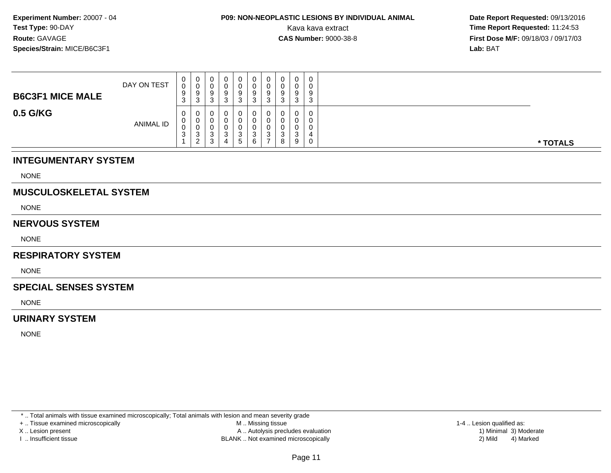## **P09: NON-NEOPLASTIC LESIONS BY INDIVIDUAL ANIMAL**

 **Date Report Requested:** 09/13/2016 Kava kava extract **Time Report Requested:** 11:24:53<br>**CAS Number:** 9000-38-8<br>**Time Report Requested:** 11:24:53 **First Dose M/F:** 09/18/03 / 09/17/03<br>**Lab:** BAT **Lab:** BAT

| <b>B6C3F1 MICE MALE</b> | DAY ON TEST      | $\mathbf{0}$<br>0<br>9<br>$\sim$<br>ູບ | <b>U</b><br>ັບ<br>y<br>3          | 0<br>υ<br>9<br><sup>o</sup><br>ັ           | ت         | 0           | U<br>9 | 0<br>9<br>3 | ◡      | 0<br>0<br>9<br>3                | 0<br>9<br>$\sim$<br>J |  |          |
|-------------------------|------------------|----------------------------------------|-----------------------------------|--------------------------------------------|-----------|-------------|--------|-------------|--------|---------------------------------|-----------------------|--|----------|
| 0.5 G/KG                | <b>ANIMAL ID</b> | $\mathbf{0}$<br>$\mathbf 0$<br>0<br>3  | U<br>U<br>v<br>3<br>ົ<br><u>_</u> | 0<br>υ<br>υ<br><sup>o</sup><br>ັ<br>ົ<br>ບ | - 12<br>д | ົ<br>د<br>b | ◠<br>⌒ | 3           | ບ<br>8 | $\mathbf 0$<br>0<br>0<br>3<br>9 | ≖                     |  | * TOTALS |

### **INTEGUMENTARY SYSTEM**

NONE

### **MUSCULOSKELETAL SYSTEM**

NONE

### **NERVOUS SYSTEM**

NONE

#### **RESPIRATORY SYSTEM**

NONE

#### **SPECIAL SENSES SYSTEM**

NONE

### **URINARY SYSTEM**

NONE

\* .. Total animals with tissue examined microscopically; Total animals with lesion and mean severity grade

+ .. Tissue examined microscopically

X .. Lesion present

I .. Insufficient tissue

 M .. Missing tissueA .. Autolysis precludes evaluation

BLANK .. Not examined microscopically 2) Mild 4) Marked

1-4 .. Lesion qualified as: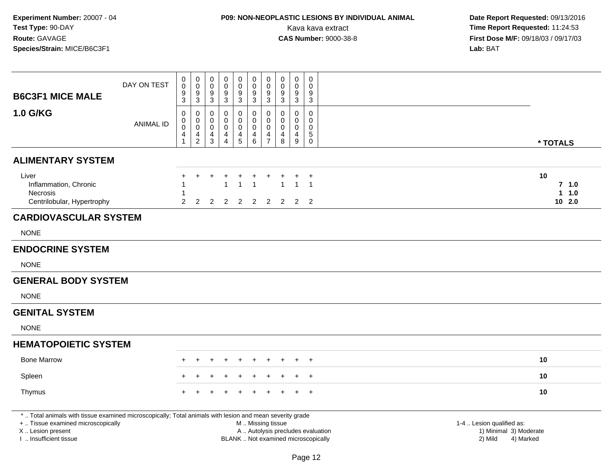# **P09: NON-NEOPLASTIC LESIONS BY INDIVIDUAL ANIMAL**

| <b>B6C3F1 MICE MALE</b>                                                                                                                        | DAY ON TEST      | $\mathbf 0$<br>$\mathsf{O}\xspace$<br>9                                | $\mathbf 0$<br>$\mathsf{O}$<br>9                                             | $\pmb{0}$<br>$\mathbf 0$<br>$9\,$                   | $\mathbf 0$<br>$\mathbf 0$<br>$\boldsymbol{9}$                | $\pmb{0}$<br>$\mathsf 0$<br>9   | $\mathsf 0$<br>0<br>$\boldsymbol{9}$                 | $\pmb{0}$<br>$\mathbf 0$<br>9                                               | $\mathbf 0$<br>0<br>9                                                    | $\mathbf 0$<br>$\mathbf 0$<br>9                         | 0<br>$\mathbf 0$<br>9                                      |                                                |                                   |
|------------------------------------------------------------------------------------------------------------------------------------------------|------------------|------------------------------------------------------------------------|------------------------------------------------------------------------------|-----------------------------------------------------|---------------------------------------------------------------|---------------------------------|------------------------------------------------------|-----------------------------------------------------------------------------|--------------------------------------------------------------------------|---------------------------------------------------------|------------------------------------------------------------|------------------------------------------------|-----------------------------------|
|                                                                                                                                                |                  | $\mathbf{3}$                                                           | $\mathbf{3}$                                                                 | $\mathbf{3}$                                        | $\sqrt{3}$                                                    | $\mathbf{3}$                    | $\mathbf{3}$                                         | $\sqrt{3}$                                                                  | $\mathbf{3}$                                                             | 3                                                       | $\mathbf{3}$                                               |                                                |                                   |
| 1.0 G/KG                                                                                                                                       | <b>ANIMAL ID</b> | $\mathbf 0$<br>$\mathbf 0$<br>$\mathsf{O}\xspace$<br>4<br>$\mathbf{1}$ | $\mathbf 0$<br>$\mathbf 0$<br>$\overline{0}$<br>$\overline{4}$<br>$\sqrt{2}$ | 0<br>$\mathbf 0$<br>$\mathbf 0$<br>4<br>$\mathsf 3$ | $\mathbf 0$<br>$\Omega$<br>$\mathbf 0$<br>4<br>$\overline{4}$ | 0<br>0<br>$\mathsf 0$<br>4<br>5 | 0<br>0<br>$\mathsf{O}\xspace$<br>4<br>$6\phantom{a}$ | $\mathbf 0$<br>$\mathbf 0$<br>$\pmb{0}$<br>$\overline{4}$<br>$\overline{7}$ | $\Omega$<br>$\Omega$<br>$\mathbf 0$<br>$\overline{4}$<br>8               | $\mathbf 0$<br>$\mathbf 0$<br>$\mathbf 0$<br>4<br>$9\,$ | $\mathbf 0$<br>$\Omega$<br>$\mathbf 0$<br>5<br>$\mathsf 0$ |                                                | * TOTALS                          |
| <b>ALIMENTARY SYSTEM</b>                                                                                                                       |                  |                                                                        |                                                                              |                                                     |                                                               |                                 |                                                      |                                                                             |                                                                          |                                                         |                                                            |                                                |                                   |
| Liver<br>Inflammation, Chronic<br>Necrosis<br>Centrilobular, Hypertrophy                                                                       |                  | $\overline{2}$                                                         | 2                                                                            | $\overline{2}$                                      | -1<br>$\overline{2}$                                          | $\mathbf 1$<br>$\overline{2}$   | -1<br>$\overline{2}$                                 | $\overline{2}$                                                              | $\mathbf{1}$<br>$\overline{2}$                                           | $\overline{1}$                                          | $\ddot{}$<br>$\overline{1}$<br>$2 \quad 2$                 |                                                | 10<br>$7$ 1.0<br>$1 1.0$<br>102.0 |
| <b>CARDIOVASCULAR SYSTEM</b>                                                                                                                   |                  |                                                                        |                                                                              |                                                     |                                                               |                                 |                                                      |                                                                             |                                                                          |                                                         |                                                            |                                                |                                   |
| <b>NONE</b>                                                                                                                                    |                  |                                                                        |                                                                              |                                                     |                                                               |                                 |                                                      |                                                                             |                                                                          |                                                         |                                                            |                                                |                                   |
| <b>ENDOCRINE SYSTEM</b>                                                                                                                        |                  |                                                                        |                                                                              |                                                     |                                                               |                                 |                                                      |                                                                             |                                                                          |                                                         |                                                            |                                                |                                   |
| <b>NONE</b>                                                                                                                                    |                  |                                                                        |                                                                              |                                                     |                                                               |                                 |                                                      |                                                                             |                                                                          |                                                         |                                                            |                                                |                                   |
| <b>GENERAL BODY SYSTEM</b>                                                                                                                     |                  |                                                                        |                                                                              |                                                     |                                                               |                                 |                                                      |                                                                             |                                                                          |                                                         |                                                            |                                                |                                   |
| <b>NONE</b>                                                                                                                                    |                  |                                                                        |                                                                              |                                                     |                                                               |                                 |                                                      |                                                                             |                                                                          |                                                         |                                                            |                                                |                                   |
| <b>GENITAL SYSTEM</b>                                                                                                                          |                  |                                                                        |                                                                              |                                                     |                                                               |                                 |                                                      |                                                                             |                                                                          |                                                         |                                                            |                                                |                                   |
| <b>NONE</b>                                                                                                                                    |                  |                                                                        |                                                                              |                                                     |                                                               |                                 |                                                      |                                                                             |                                                                          |                                                         |                                                            |                                                |                                   |
| <b>HEMATOPOIETIC SYSTEM</b>                                                                                                                    |                  |                                                                        |                                                                              |                                                     |                                                               |                                 |                                                      |                                                                             |                                                                          |                                                         |                                                            |                                                |                                   |
| <b>Bone Marrow</b>                                                                                                                             |                  |                                                                        |                                                                              |                                                     |                                                               | $\ddot{}$                       | $\ddot{}$                                            |                                                                             |                                                                          | $\ddot{}$                                               | $\overline{+}$                                             |                                                | 10                                |
| Spleen                                                                                                                                         |                  |                                                                        |                                                                              |                                                     |                                                               |                                 |                                                      |                                                                             |                                                                          |                                                         | $^{+}$                                                     |                                                | 10                                |
| Thymus                                                                                                                                         |                  |                                                                        |                                                                              |                                                     |                                                               |                                 |                                                      |                                                                             |                                                                          |                                                         | $+$                                                        |                                                | 10                                |
| *  Total animals with tissue examined microscopically; Total animals with lesion and mean severity grade<br>+  Tissue examined microscopically |                  |                                                                        |                                                                              |                                                     |                                                               |                                 | M  Missing tissue                                    |                                                                             |                                                                          |                                                         |                                                            | 1-4  Lesion qualified as:                      |                                   |
| X Lesion present<br>I. Insufficient tissue                                                                                                     |                  |                                                                        |                                                                              |                                                     |                                                               |                                 |                                                      |                                                                             | A  Autolysis precludes evaluation<br>BLANK  Not examined microscopically |                                                         |                                                            | 1) Minimal 3) Moderate<br>2) Mild<br>4) Marked |                                   |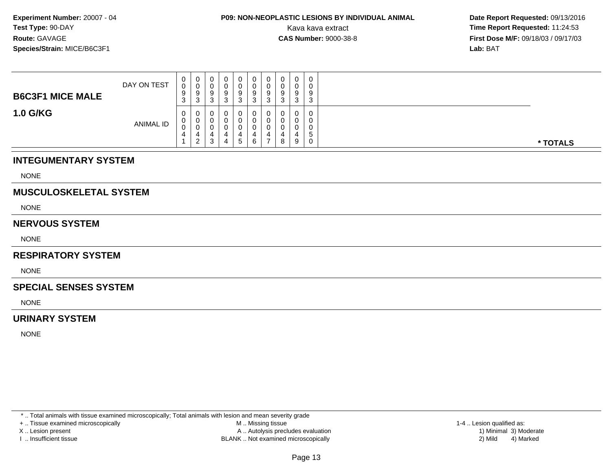## **P09: NON-NEOPLASTIC LESIONS BY INDIVIDUAL ANIMAL**

 **Date Report Requested:** 09/13/2016 Kava kava extract **Time Report Requested:** 11:24:53<br>**CAS Number:** 9000-38-8<br>**Time Report Requested:** 11:24:53 **First Dose M/F:** 09/18/03 / 09/17/03<br>**Lab:** BAT **Lab:** BAT

| <b>B6C3F1 MICE MALE</b> | DAY ON TEST      | 0<br>0<br>9<br>$\sim$<br><b>ت</b> | 0<br>U<br>9<br>-3            |  | 0<br>0<br>9<br>د  | 9<br>J | 0<br>0<br>9<br>3             | $\mathbf{0}$<br>0<br>9<br>3 | O<br>0<br>ັ | ◠<br>P |          |
|-------------------------|------------------|-----------------------------------|------------------------------|--|-------------------|--------|------------------------------|-----------------------------|-------------|--------|----------|
| <b>1.0 G/KG</b>         | <b>ANIMAL ID</b> | 0<br>0<br>0<br>4                  | 0<br>0<br>0<br>$\mathcal{D}$ |  | 0<br>0<br>0<br>b. | 0<br>6 | 0<br>0<br>4<br>$\rightarrow$ | 0<br>0<br>0<br>4<br>8       | 9           | 5      | * TOTALS |

### **INTEGUMENTARY SYSTEM**

NONE

### **MUSCULOSKELETAL SYSTEM**

NONE

### **NERVOUS SYSTEM**

NONE

#### **RESPIRATORY SYSTEM**

**NONE** 

#### **SPECIAL SENSES SYSTEM**

NONE

### **URINARY SYSTEM**

NONE

\* .. Total animals with tissue examined microscopically; Total animals with lesion and mean severity grade

+ .. Tissue examined microscopically

X .. Lesion present

I .. Insufficient tissue

 M .. Missing tissueA .. Autolysis precludes evaluation

BLANK .. Not examined microscopically 2) Mild 4) Marked

1-4 .. Lesion qualified as: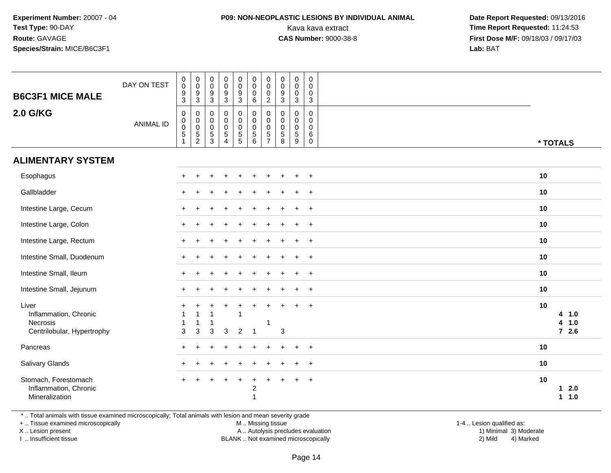### **P09: NON-NEOPLASTIC LESIONS BY INDIVIDUAL ANIMAL**

 **Date Report Requested:** 09/13/2016 Kava kava extract **Time Report Requested:** 11:24:53<br>**CAS Number:** 9000-38-8 **Time Report Requested:** 11:24:53 **First Dose M/F:** 09/18/03 / 09/17/03<br>**Lab:** BAT **Lab:** BAT

| <b>B6C3F1 MICE MALE</b><br><b>2.0 G/KG</b>                               | DAY ON TEST<br><b>ANIMAL ID</b> | $\pmb{0}$<br>$\mathbf 0$<br>$\boldsymbol{9}$<br>$\overline{3}$<br>$\mathbf 0$<br>$\mathbf 0$<br>$\pmb{0}$<br>$\sqrt{5}$ | $\pmb{0}$<br>$\mathbf 0$<br>$\boldsymbol{9}$<br>$\overline{3}$<br>0<br>$\mathbf 0$<br>$\boldsymbol{0}$<br>$\,$ 5 $\,$ | $\mathsf{O}\xspace$<br>$\mathsf{O}\xspace$<br>$\boldsymbol{9}$<br>$\overline{3}$<br>0<br>$\mathbf 0$<br>$\mathbf 0$ | $\pmb{0}$<br>$\pmb{0}$<br>$\frac{9}{3}$<br>$\pmb{0}$<br>$\pmb{0}$<br>$\begin{array}{c} 0 \\ 5 \end{array}$ | $\pmb{0}$<br>$\pmb{0}$<br>$\frac{9}{3}$<br>$\mathbf 0$<br>$\pmb{0}$<br>$\begin{array}{c} 0 \\ 5 \\ 5 \end{array}$ | $\mathbf 0$<br>$\mathbf 0$<br>$\pmb{0}$<br>$\,6\,$<br>$\pmb{0}$<br>$\mathbf 0$<br>$\mathbf 0$<br>$\sqrt{5}$ | $\pmb{0}$<br>$\pmb{0}$<br>$\mathbf 0$<br>$\overline{c}$<br>0<br>$\mathbf{0}$<br>$\mathbf 0$<br>$\,$ 5 $\,$ | $\mathbf 0$<br>$\mathbf 0$<br>$\boldsymbol{9}$<br>$\mathbf{3}$<br>$\mathbf 0$<br>$\Omega$<br>$\mathbf 0$<br>$\mathbf 5$ | $\pmb{0}$<br>$\pmb{0}$<br>$\pmb{0}$<br>$\mathbf{3}$<br>0<br>0<br>$\pmb{0}$<br>$\sqrt{5}$ | $\mathbf 0$<br>$\mathbf 0$<br>0<br>$\sqrt{3}$<br>$\mathbf 0$<br>$\mathbf 0$<br>$\mathbf 0$<br>$\,6\,$ |          |                                    |
|--------------------------------------------------------------------------|---------------------------------|-------------------------------------------------------------------------------------------------------------------------|-----------------------------------------------------------------------------------------------------------------------|---------------------------------------------------------------------------------------------------------------------|------------------------------------------------------------------------------------------------------------|-------------------------------------------------------------------------------------------------------------------|-------------------------------------------------------------------------------------------------------------|------------------------------------------------------------------------------------------------------------|-------------------------------------------------------------------------------------------------------------------------|------------------------------------------------------------------------------------------|-------------------------------------------------------------------------------------------------------|----------|------------------------------------|
|                                                                          |                                 | $\overline{1}$                                                                                                          | $\overline{c}$                                                                                                        | $\frac{5}{3}$                                                                                                       | $\overline{4}$                                                                                             |                                                                                                                   | 6                                                                                                           | $\overline{7}$                                                                                             | 8                                                                                                                       | 9                                                                                        | $\mathsf{O}\xspace$                                                                                   | * TOTALS |                                    |
| <b>ALIMENTARY SYSTEM</b>                                                 |                                 |                                                                                                                         |                                                                                                                       |                                                                                                                     |                                                                                                            |                                                                                                                   |                                                                                                             |                                                                                                            |                                                                                                                         |                                                                                          |                                                                                                       |          |                                    |
| Esophagus                                                                |                                 |                                                                                                                         |                                                                                                                       |                                                                                                                     |                                                                                                            |                                                                                                                   |                                                                                                             |                                                                                                            |                                                                                                                         |                                                                                          | $\overline{+}$                                                                                        | 10       |                                    |
| Gallbladder                                                              |                                 |                                                                                                                         |                                                                                                                       |                                                                                                                     |                                                                                                            |                                                                                                                   |                                                                                                             |                                                                                                            |                                                                                                                         | $\ddot{}$                                                                                | $+$                                                                                                   | 10       |                                    |
| Intestine Large, Cecum                                                   |                                 |                                                                                                                         |                                                                                                                       |                                                                                                                     |                                                                                                            |                                                                                                                   |                                                                                                             |                                                                                                            |                                                                                                                         | $\ddot{}$                                                                                | $+$                                                                                                   | 10       |                                    |
| Intestine Large, Colon                                                   |                                 |                                                                                                                         |                                                                                                                       |                                                                                                                     |                                                                                                            |                                                                                                                   |                                                                                                             |                                                                                                            |                                                                                                                         | $\ddot{}$                                                                                | $+$                                                                                                   | 10       |                                    |
| Intestine Large, Rectum                                                  |                                 | $\pm$                                                                                                                   |                                                                                                                       |                                                                                                                     |                                                                                                            |                                                                                                                   |                                                                                                             |                                                                                                            |                                                                                                                         | $\ddot{}$                                                                                | $+$                                                                                                   | 10       |                                    |
| Intestine Small, Duodenum                                                |                                 |                                                                                                                         |                                                                                                                       |                                                                                                                     |                                                                                                            |                                                                                                                   |                                                                                                             |                                                                                                            |                                                                                                                         |                                                                                          | $\ddot{}$                                                                                             | 10       |                                    |
| Intestine Small, Ileum                                                   |                                 |                                                                                                                         |                                                                                                                       |                                                                                                                     |                                                                                                            |                                                                                                                   |                                                                                                             |                                                                                                            |                                                                                                                         | $\ddot{}$                                                                                | $+$                                                                                                   | 10       |                                    |
| Intestine Small, Jejunum                                                 |                                 |                                                                                                                         |                                                                                                                       |                                                                                                                     |                                                                                                            |                                                                                                                   |                                                                                                             |                                                                                                            |                                                                                                                         | $\div$                                                                                   | $+$                                                                                                   | 10       |                                    |
| Liver<br>Inflammation, Chronic<br>Necrosis<br>Centrilobular, Hypertrophy |                                 | 3                                                                                                                       | $\sqrt{3}$                                                                                                            | 3                                                                                                                   | $\ddot{}$<br>3                                                                                             | 1<br>$\overline{2}$                                                                                               | -1                                                                                                          | 1                                                                                                          | 3                                                                                                                       | ÷                                                                                        | $\ddot{}$                                                                                             | 10       | 4 1.0<br>1.0<br>4<br>$7 \quad 2.6$ |
| Pancreas                                                                 |                                 |                                                                                                                         |                                                                                                                       |                                                                                                                     |                                                                                                            |                                                                                                                   |                                                                                                             |                                                                                                            |                                                                                                                         | ÷                                                                                        | $+$                                                                                                   | 10       |                                    |
| Salivary Glands                                                          |                                 |                                                                                                                         |                                                                                                                       |                                                                                                                     |                                                                                                            |                                                                                                                   |                                                                                                             |                                                                                                            |                                                                                                                         |                                                                                          | $\ddot{}$                                                                                             | 10       |                                    |
| Stomach, Forestomach<br>Inflammation, Chronic<br>Mineralization          |                                 | $+$                                                                                                                     | $\ddot{}$                                                                                                             |                                                                                                                     | $\ddot{}$                                                                                                  | $\ddot{}$                                                                                                         | $\ddot{}$<br>$\overline{c}$<br>$\overline{1}$                                                               |                                                                                                            |                                                                                                                         | $\ddot{}$                                                                                | $+$                                                                                                   | 10       | 2.0<br>$\mathbf 1$<br>$1 1.0$      |

\* .. Total animals with tissue examined microscopically; Total animals with lesion and mean severity grade

+ .. Tissue examined microscopically

X .. Lesion present

I .. Insufficient tissue

M .. Missing tissue

Lesion present A .. Autolysis precludes evaluation 1) Minimal 3) Moderate

BLANK .. Not examined microscopically 2) Mild 4) Marked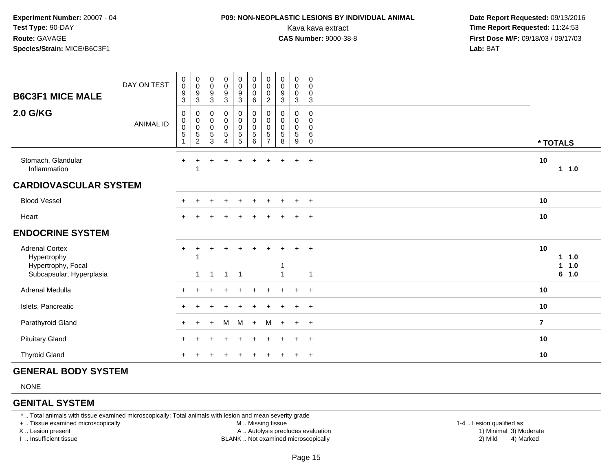### **P09: NON-NEOPLASTIC LESIONS BY INDIVIDUAL ANIMAL**

 **Date Report Requested:** 09/13/2016 Kava kava extract **Time Report Requested:** 11:24:53<br>**CAS Number:** 9000-38-8 **Time Report Requested:** 11:24:53 **First Dose M/F:** 09/18/03 / 09/17/03<br>**Lab:** BAT **Lab:** BAT

| <b>B6C3F1 MICE MALE</b><br><b>2.0 G/KG</b>                                             | DAY ON TEST      | 0<br>$\pmb{0}$<br>$\boldsymbol{9}$<br>$\mathbf{3}$<br>$\pmb{0}$ | $\pmb{0}$<br>$\mathsf 0$<br>9<br>3<br>0           | $\pmb{0}$<br>$\mathbf 0$<br>$\boldsymbol{9}$<br>$\ensuremath{\mathsf{3}}$<br>0 | $\begin{array}{c} 0 \\ 0 \\ 9 \\ 3 \end{array}$<br>$\pmb{0}$ | $\mathbf 0$<br>$\frac{0}{9}$<br>0                                 | $\boldsymbol{0}$<br>$\pmb{0}$<br>$\mathbf 0$<br>$\,6\,$<br>$\pmb{0}$ | $\pmb{0}$<br>$\pmb{0}$<br>$\mathbf 0$<br>$\overline{2}$<br>0 | $\mathbf 0$<br>$\pmb{0}$<br>$\boldsymbol{9}$<br>3<br>0 | $\mathbf 0$<br>$\pmb{0}$<br>0<br>3<br>0 | $\boldsymbol{0}$<br>0<br>0<br>$\mathbf{3}$<br>0 |                                      |  |
|----------------------------------------------------------------------------------------|------------------|-----------------------------------------------------------------|---------------------------------------------------|--------------------------------------------------------------------------------|--------------------------------------------------------------|-------------------------------------------------------------------|----------------------------------------------------------------------|--------------------------------------------------------------|--------------------------------------------------------|-----------------------------------------|-------------------------------------------------|--------------------------------------|--|
|                                                                                        | <b>ANIMAL ID</b> | $\mathbf 0$<br>$\mathbf 0$<br>$\sqrt{5}$<br>$\mathbf{1}$        | $\mathbf 0$<br>$\pmb{0}$<br>5<br>$\boldsymbol{2}$ | $\pmb{0}$<br>$\pmb{0}$<br>5<br>3                                               | $\pmb{0}$<br>$\pmb{0}$<br>$\overline{5}$<br>$\overline{A}$   | $\mathsf{O}\xspace$<br>$\mathsf{O}\xspace$<br>$\overline{5}$<br>5 | $\mathbf 0$<br>$\mathbf 0$<br>5<br>$\,6\,$                           | $\mathbf 0$<br>$\mathbf 0$<br>5<br>$\overline{7}$            | $\pmb{0}$<br>$\mathbf 0$<br>5<br>8                     | $\mathbf 0$<br>$\mathbf 0$<br>5<br>9    | 0<br>$\pmb{0}$<br>6<br>$\mathbf 0$              | * TOTALS                             |  |
| Stomach, Glandular<br>Inflammation                                                     |                  | $+$                                                             | 1                                                 |                                                                                | $\overline{1}$                                               | $\ddot{}$                                                         |                                                                      |                                                              |                                                        | $\ddot{}$                               | $+$                                             | 10<br>11.0                           |  |
| <b>CARDIOVASCULAR SYSTEM</b>                                                           |                  |                                                                 |                                                   |                                                                                |                                                              |                                                                   |                                                                      |                                                              |                                                        |                                         |                                                 |                                      |  |
| <b>Blood Vessel</b>                                                                    |                  |                                                                 |                                                   |                                                                                |                                                              |                                                                   |                                                                      |                                                              |                                                        |                                         | $\ddot{}$                                       | 10                                   |  |
| Heart                                                                                  |                  |                                                                 |                                                   |                                                                                |                                                              |                                                                   |                                                                      |                                                              |                                                        |                                         | $+$                                             | 10                                   |  |
| <b>ENDOCRINE SYSTEM</b>                                                                |                  |                                                                 |                                                   |                                                                                |                                                              |                                                                   |                                                                      |                                                              |                                                        |                                         |                                                 |                                      |  |
| <b>Adrenal Cortex</b><br>Hypertrophy<br>Hypertrophy, Focal<br>Subcapsular, Hyperplasia |                  | $\ddot{}$                                                       | $\div$<br>$\mathbf{1}$                            | $\overline{1}$                                                                 | $\overline{1}$                                               | $\overline{1}$                                                    |                                                                      |                                                              |                                                        |                                         | $\overline{+}$<br>1                             | 10<br>1.0<br>1.<br>1.0<br>1<br>6 1.0 |  |
| Adrenal Medulla                                                                        |                  |                                                                 |                                                   |                                                                                |                                                              |                                                                   |                                                                      |                                                              |                                                        | $\ddot{}$                               | $+$                                             | 10                                   |  |
| Islets, Pancreatic                                                                     |                  |                                                                 |                                                   |                                                                                |                                                              |                                                                   |                                                                      |                                                              |                                                        |                                         | $+$                                             | 10                                   |  |
| Parathyroid Gland                                                                      |                  |                                                                 |                                                   | $+$                                                                            | M                                                            | M                                                                 | $+$                                                                  | M                                                            | $\ddot{}$                                              | $+$                                     | $+$                                             | $\overline{7}$                       |  |
| <b>Pituitary Gland</b>                                                                 |                  |                                                                 |                                                   |                                                                                |                                                              |                                                                   |                                                                      |                                                              |                                                        | $+$                                     | $+$                                             | 10                                   |  |
| <b>Thyroid Gland</b>                                                                   |                  |                                                                 |                                                   |                                                                                |                                                              |                                                                   |                                                                      |                                                              |                                                        | $\div$                                  | $+$                                             | 10                                   |  |

### **GENERAL BODY SYSTEM**

NONE

### **GENITAL SYSTEM**

\* .. Total animals with tissue examined microscopically; Total animals with lesion and mean severity grade

+ .. Tissue examined microscopically

X .. Lesion present

I .. Insufficient tissue

 M .. Missing tissueA .. Autolysis precludes evaluation

 1-4 .. Lesion qualified as: BLANK .. Not examined microscopically 2) Mild 4) Marked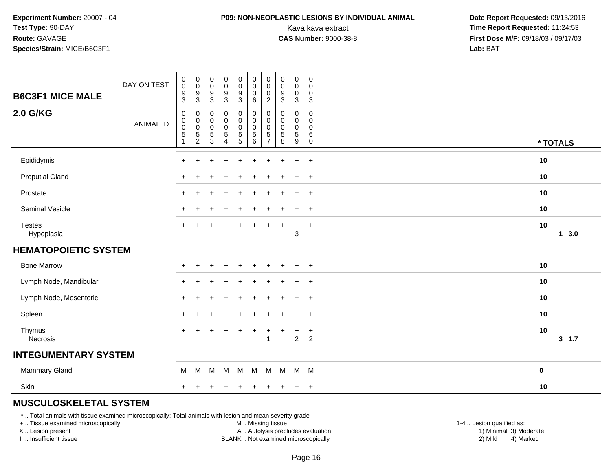### **P09: NON-NEOPLASTIC LESIONS BY INDIVIDUAL ANIMAL**

 **Date Report Requested:** 09/13/2016 Kava kava extract **Time Report Requested:** 11:24:53<br>**CAS Number:** 9000-38-8 **Time Report Requested:** 11:24:53 **First Dose M/F:** 09/18/03 / 09/17/03<br>**Lab:** BAT **Lab:** BAT

|                               | DAY ON TEST      | $_{\rm 0}^{\rm 0}$                                             | $\begin{smallmatrix} 0\\0 \end{smallmatrix}$            | $\begin{smallmatrix}0\\0\end{smallmatrix}$<br>$\boldsymbol{9}$ | $_{\rm 0}^{\rm 0}$                                                      | $\begin{smallmatrix} 0\\0 \end{smallmatrix}$ | $_{\rm 0}^{\rm 0}$<br>$\pmb{0}$                 | $\pmb{0}$<br>$\mathbf 0$<br>$\mathbf 0$                         | $\pmb{0}$<br>$\mathbf 0$<br>$\boldsymbol{9}$ | $\pmb{0}$<br>$\pmb{0}$<br>$\pmb{0}$        | $\pmb{0}$<br>$\mathbf 0$<br>$\pmb{0}$         |           |        |
|-------------------------------|------------------|----------------------------------------------------------------|---------------------------------------------------------|----------------------------------------------------------------|-------------------------------------------------------------------------|----------------------------------------------|-------------------------------------------------|-----------------------------------------------------------------|----------------------------------------------|--------------------------------------------|-----------------------------------------------|-----------|--------|
| <b>B6C3F1 MICE MALE</b>       |                  | $\frac{9}{3}$                                                  | $\frac{9}{3}$                                           | $\sqrt{3}$                                                     | $\frac{9}{3}$                                                           | $\frac{9}{3}$                                | $\,6\,$                                         | $\sqrt{2}$                                                      | $\mathbf{3}$                                 | $\mathbf{3}$                               | $\mathsf 3$                                   |           |        |
| <b>2.0 G/KG</b>               | <b>ANIMAL ID</b> | 0<br>$\begin{matrix} 0 \\ 0 \\ 5 \end{matrix}$<br>$\mathbf{1}$ | 0<br>$_{\rm 0}^{\rm 0}$<br>$\sqrt{5}$<br>$\overline{2}$ | 0<br>$\pmb{0}$<br>$\mathbf 0$<br>$\sqrt{5}$<br>3               | 0<br>$\begin{smallmatrix}0\0\0\end{smallmatrix}$<br>5<br>$\overline{4}$ | 0<br>0<br>0<br>5<br>5                        | 0<br>$\pmb{0}$<br>$\pmb{0}$<br>$\mathbf 5$<br>6 | $\mathbf 0$<br>0<br>$\mathbf 0$<br>$\sqrt{5}$<br>$\overline{7}$ | 0<br>0<br>$\mathbf 0$<br>$\sqrt{5}$<br>8     | 0<br>$\mathbf 0$<br>0<br>$\sqrt{5}$<br>$9$ | 0<br>$\mathbf 0$<br>$\mathbf 0$<br>$\,6$<br>0 | * TOTALS  |        |
| Epididymis                    |                  | $\ddot{}$                                                      |                                                         |                                                                |                                                                         |                                              |                                                 |                                                                 |                                              | $\ddot{}$                                  | $+$                                           | 10        |        |
| <b>Preputial Gland</b>        |                  | $\ddot{}$                                                      | +                                                       |                                                                |                                                                         |                                              |                                                 |                                                                 |                                              | $\ddot{}$                                  | $\overline{+}$                                | 10        |        |
| Prostate                      |                  | $\ddot{}$                                                      | $\div$                                                  |                                                                | +                                                                       |                                              | ÷                                               |                                                                 |                                              | $\ddot{}$                                  | $+$                                           | 10        |        |
| Seminal Vesicle               |                  | $\ddot{}$                                                      |                                                         |                                                                |                                                                         |                                              | ÷                                               |                                                                 |                                              | $\ddot{}$                                  | $+$                                           | 10        |        |
| <b>Testes</b><br>Hypoplasia   |                  |                                                                |                                                         |                                                                |                                                                         |                                              |                                                 |                                                                 |                                              | $\ddot{}$<br>3                             | $+$                                           | 10        | 13.0   |
| <b>HEMATOPOIETIC SYSTEM</b>   |                  |                                                                |                                                         |                                                                |                                                                         |                                              |                                                 |                                                                 |                                              |                                            |                                               |           |        |
| <b>Bone Marrow</b>            |                  | $\ddot{}$                                                      | $\pm$                                                   | ÷                                                              | $\ddot{}$                                                               | $\ddot{}$                                    | $\ddot{}$                                       | +                                                               | $\div$                                       | $\ddot{}$                                  | $+$                                           | 10        |        |
| Lymph Node, Mandibular        |                  | $\ddot{}$                                                      |                                                         |                                                                |                                                                         |                                              |                                                 |                                                                 |                                              | $\ddot{}$                                  | $^{+}$                                        | 10        |        |
| Lymph Node, Mesenteric        |                  | $\pm$                                                          |                                                         |                                                                |                                                                         |                                              |                                                 |                                                                 |                                              | ÷                                          | $+$                                           | 10        |        |
| Spleen                        |                  | $\div$                                                         |                                                         |                                                                |                                                                         |                                              |                                                 |                                                                 |                                              | $\ddot{}$                                  | $^{+}$                                        | 10        |        |
| Thymus<br>Necrosis            |                  | $+$                                                            |                                                         |                                                                |                                                                         |                                              |                                                 |                                                                 |                                              | $\ddot{}$<br>$\overline{2}$                | $\ddot{}$<br>2                                | 10        | 3, 1.7 |
| <b>INTEGUMENTARY SYSTEM</b>   |                  |                                                                |                                                         |                                                                |                                                                         |                                              |                                                 |                                                                 |                                              |                                            |                                               |           |        |
| <b>Mammary Gland</b>          |                  | M                                                              | M                                                       | M                                                              | M                                                                       | M                                            | M                                               | M                                                               | M                                            | M M                                        |                                               | $\pmb{0}$ |        |
| Skin                          |                  | $+$                                                            | $\pm$                                                   | $\ddot{}$                                                      | $\ddot{}$                                                               | $\ddot{}$                                    | $\ddot{}$                                       | +                                                               | $\ddot{}$                                    | $+$                                        | $+$                                           | 10        |        |
| <b>MUSCULOSKELETAL SYSTEM</b> |                  |                                                                |                                                         |                                                                |                                                                         |                                              |                                                 |                                                                 |                                              |                                            |                                               |           |        |

\* .. Total animals with tissue examined microscopically; Total animals with lesion and mean severity grade

+ .. Tissue examined microscopically

X .. Lesion present

I .. Insufficient tissue

M .. Missing tissue

A .. Autolysis precludes evaluation

BLANK .. Not examined microscopically 2) Mild 4) Marked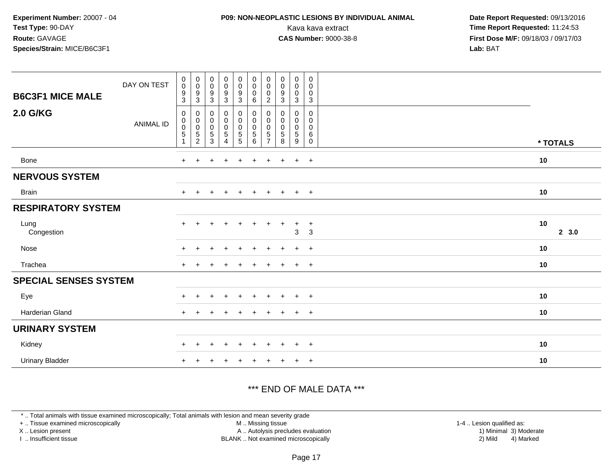### **P09: NON-NEOPLASTIC LESIONS BY INDIVIDUAL ANIMAL**

 **Date Report Requested:** 09/13/2016 Kava kava extract **Time Report Requested:** 11:24:53<br>**CAS Number:** 9000-38-8 **Time Report Requested:** 11:24:53 **First Dose M/F:** 09/18/03 / 09/17/03<br>**Lab:** BAT **Lab:** BAT

| <b>B6C3F1 MICE MALE</b>      | DAY ON TEST      | $\boldsymbol{0}$<br>$\mathbf 0$<br>9<br>3 | $\begin{array}{c} 0 \\ 0 \\ 9 \\ 3 \end{array}$      | $\begin{matrix} 0 \\ 0 \\ 9 \\ 3 \end{matrix}$                | $_{\rm 0}^{\rm 0}$<br>$\frac{9}{3}$                | $_{\rm 0}^{\rm 0}$<br>$\frac{9}{3}$   | $\begin{smallmatrix}0\\0\end{smallmatrix}$<br>$\pmb{0}$<br>$\,6\,$ | $_{\rm 0}^{\rm 0}$<br>0<br>$\overline{c}$           | $\begin{array}{c} 0 \\ 0 \\ 9 \\ 3 \end{array}$ | $\pmb{0}$<br>$\mathsf 0$<br>$\pmb{0}$<br>3      | $\pmb{0}$<br>$\mathbf 0$<br>0<br>3 |              |
|------------------------------|------------------|-------------------------------------------|------------------------------------------------------|---------------------------------------------------------------|----------------------------------------------------|---------------------------------------|--------------------------------------------------------------------|-----------------------------------------------------|-------------------------------------------------|-------------------------------------------------|------------------------------------|--------------|
| <b>2.0 G/KG</b>              | <b>ANIMAL ID</b> | 0<br>$\pmb{0}$<br>0<br>$\mathbf 5$        | $\pmb{0}$<br>$\,0\,$<br>$\mathbf 0$<br>$\frac{5}{2}$ | 0<br>$\mathbf 0$<br>$\mathbf 0$<br>$\sqrt{5}$<br>$\mathbf{3}$ | 0<br>$\pmb{0}$<br>$\pmb{0}$<br>$\overline{5}$<br>4 | 0<br>$\pmb{0}$<br>$\pmb{0}$<br>5<br>5 | 0<br>$\pmb{0}$<br>$\pmb{0}$<br>5<br>$\,6\,$                        | 0<br>$\pmb{0}$<br>0<br>$\sqrt{5}$<br>$\overline{7}$ | 0<br>$\pmb{0}$<br>$\pmb{0}$<br>$\,$ 5 $\,$<br>8 | 0<br>$\pmb{0}$<br>$\pmb{0}$<br>$\,$ 5 $\,$<br>9 | 0<br>0<br>0<br>6<br>0              | * TOTALS     |
| Bone                         |                  | $+$                                       | $\pm$                                                |                                                               | $\ddot{}$                                          | $\div$                                | $\ddot{}$                                                          | $+$                                                 | $\pm$                                           | $+$                                             | $+$                                | 10           |
| <b>NERVOUS SYSTEM</b>        |                  |                                           |                                                      |                                                               |                                                    |                                       |                                                                    |                                                     |                                                 |                                                 |                                    |              |
| <b>Brain</b>                 |                  | $+$                                       | $+$                                                  | $+$                                                           | $+$                                                | $+$                                   | $+$                                                                | $+$                                                 | $+$                                             | $+$ $+$                                         |                                    | 10           |
| <b>RESPIRATORY SYSTEM</b>    |                  |                                           |                                                      |                                                               |                                                    |                                       |                                                                    |                                                     |                                                 |                                                 |                                    |              |
| Lung<br>Congestion           |                  | $+$                                       | $\pm$                                                | $\div$                                                        | $\ddot{}$                                          | $\div$                                | $\ddot{}$                                                          | ÷.                                                  | $\overline{+}$                                  | $\ddot{}$<br>3                                  | $+$<br>3                           | 10<br>2, 3.0 |
| Nose                         |                  | $\ddot{}$                                 |                                                      |                                                               | $\ddot{}$                                          | $\div$                                | $\ddot{}$                                                          | $\pm$                                               |                                                 | $+$                                             | $+$                                | 10           |
| Trachea                      |                  | $\ddot{}$                                 |                                                      |                                                               |                                                    |                                       |                                                                    |                                                     |                                                 | $\ddot{}$                                       | $^{+}$                             | 10           |
| <b>SPECIAL SENSES SYSTEM</b> |                  |                                           |                                                      |                                                               |                                                    |                                       |                                                                    |                                                     |                                                 |                                                 |                                    |              |
| Eye                          |                  |                                           |                                                      |                                                               |                                                    |                                       |                                                                    |                                                     |                                                 | $\ddot{}$                                       | $\overline{+}$                     | 10           |
| <b>Harderian Gland</b>       |                  | $+$                                       |                                                      |                                                               | $\ddot{}$                                          |                                       | $\ddot{}$                                                          |                                                     |                                                 | $+$                                             | $+$                                | 10           |
| <b>URINARY SYSTEM</b>        |                  |                                           |                                                      |                                                               |                                                    |                                       |                                                                    |                                                     |                                                 |                                                 |                                    |              |
| Kidney                       |                  | $\pm$                                     | $\pm$                                                |                                                               | $\pm$                                              |                                       |                                                                    |                                                     |                                                 | $\ddot{}$                                       | $+$                                | 10           |
| <b>Urinary Bladder</b>       |                  | $\ddot{}$                                 |                                                      |                                                               |                                                    |                                       |                                                                    |                                                     |                                                 | $\ddot{}$                                       | $+$                                | 10           |

### \*\*\* END OF MALE DATA \*\*\*

\* .. Total animals with tissue examined microscopically; Total animals with lesion and mean severity grade

+ .. Tissue examined microscopically

X .. Lesion present

I .. Insufficient tissue

 M .. Missing tissueA .. Autolysis precludes evaluation

BLANK .. Not examined microscopically 2) Mild 4) Marked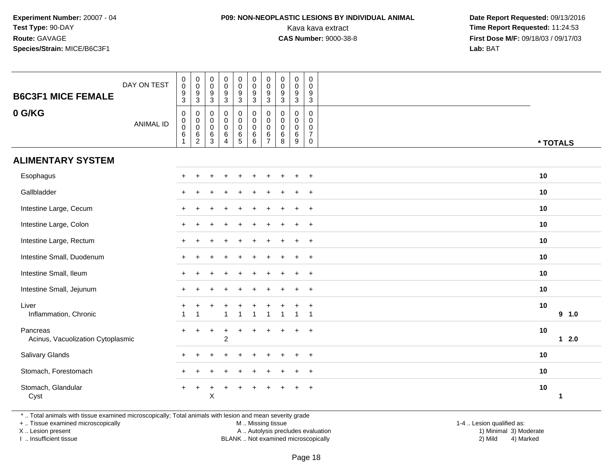## **P09: NON-NEOPLASTIC LESIONS BY INDIVIDUAL ANIMAL**

 **Date Report Requested:** 09/13/2016 Kava kava extract **Time Report Requested:** 11:24:53<br>**CAS Number:** 9000-38-8 **Time Report Requested:** 11:24:53 **First Dose M/F:** 09/18/03 / 09/17/03<br>**Lab:** BAT **Lab:** BAT

| <b>B6C3F1 MICE FEMALE</b>                     | DAY ON TEST      | $_{\rm 0}^{\rm 0}$<br>$\boldsymbol{9}$<br>$\mathbf{3}$             | $\begin{smallmatrix} 0\\0 \end{smallmatrix}$<br>$\boldsymbol{9}$<br>$\sqrt{3}$ | $\begin{smallmatrix} 0\\0 \end{smallmatrix}$<br>$\boldsymbol{9}$<br>$\mathbf{3}$ | $\begin{array}{c} 0 \\ 0 \\ 9 \\ 3 \end{array}$                     | 0<br>$\mathbf 0$<br>$\boldsymbol{9}$<br>3                      | $_{\rm 0}^{\rm 0}$<br>$\boldsymbol{9}$<br>$\mathbf{3}$ | $\pmb{0}$<br>$\mathbf 0$<br>$\boldsymbol{9}$<br>3      | $\begin{smallmatrix} 0\\0 \end{smallmatrix}$<br>$\boldsymbol{9}$<br>$\mathbf{3}$ | $\begin{smallmatrix}0\0\0\9\end{smallmatrix}$<br>$\mathbf{3}$ | $\pmb{0}$<br>$\mathbf 0$<br>9<br>$\mathbf{3}$                         |          |             |
|-----------------------------------------------|------------------|--------------------------------------------------------------------|--------------------------------------------------------------------------------|----------------------------------------------------------------------------------|---------------------------------------------------------------------|----------------------------------------------------------------|--------------------------------------------------------|--------------------------------------------------------|----------------------------------------------------------------------------------|---------------------------------------------------------------|-----------------------------------------------------------------------|----------|-------------|
| 0 G/KG                                        | <b>ANIMAL ID</b> | $\mathbf 0$<br>$\mathbf 0$<br>$\pmb{0}$<br>$\,6$<br>$\overline{1}$ | $\pmb{0}$<br>$\mathbf 0$<br>$\mathbf 0$<br>6<br>$\sqrt{2}$                     | 0<br>$\boldsymbol{0}$<br>$\pmb{0}$<br>$\,6$<br>$\mathsf 3$                       | $\pmb{0}$<br>$\mathsf{O}\xspace$<br>$\frac{0}{6}$<br>$\overline{4}$ | 0<br>$\mathbf 0$<br>$\begin{array}{c} 0 \\ 6 \\ 5 \end{array}$ | $\mathbf 0$<br>$\mathbf 0$<br>$\pmb{0}$<br>$^6_{\ 6}$  | 0<br>$\mathbf 0$<br>$\mathbf 0$<br>6<br>$\overline{7}$ | $\mathbf 0$<br>$\mathbf 0$<br>$\mathbf 0$<br>6<br>8                              | 0<br>$\mathbf 0$<br>$\mathsf 0$<br>$6\phantom{a}$<br>9        | $\mathbf 0$<br>$\Omega$<br>0<br>$\overline{7}$<br>$\mathsf{O}\xspace$ | * TOTALS |             |
| <b>ALIMENTARY SYSTEM</b>                      |                  |                                                                    |                                                                                |                                                                                  |                                                                     |                                                                |                                                        |                                                        |                                                                                  |                                                               |                                                                       |          |             |
| Esophagus                                     |                  |                                                                    |                                                                                |                                                                                  |                                                                     |                                                                |                                                        |                                                        |                                                                                  |                                                               | $\ddot{}$                                                             | 10       |             |
| Gallbladder                                   |                  |                                                                    |                                                                                |                                                                                  |                                                                     |                                                                |                                                        |                                                        |                                                                                  | $\ddot{}$                                                     | $\ddot{}$                                                             | 10       |             |
| Intestine Large, Cecum                        |                  |                                                                    |                                                                                |                                                                                  |                                                                     |                                                                |                                                        |                                                        |                                                                                  | $\ddot{}$                                                     | $\overline{+}$                                                        | 10       |             |
| Intestine Large, Colon                        |                  |                                                                    |                                                                                |                                                                                  |                                                                     |                                                                |                                                        |                                                        |                                                                                  | $\ddot{}$                                                     | $+$                                                                   | 10       |             |
| Intestine Large, Rectum                       |                  |                                                                    |                                                                                |                                                                                  |                                                                     |                                                                |                                                        |                                                        |                                                                                  | $\ddot{}$                                                     | $+$                                                                   | 10       |             |
| Intestine Small, Duodenum                     |                  |                                                                    |                                                                                |                                                                                  |                                                                     |                                                                |                                                        |                                                        |                                                                                  |                                                               | $\overline{+}$                                                        | 10       |             |
| Intestine Small, Ileum                        |                  |                                                                    |                                                                                |                                                                                  |                                                                     |                                                                |                                                        |                                                        |                                                                                  |                                                               | $\ddot{}$                                                             | 10       |             |
| Intestine Small, Jejunum                      |                  |                                                                    |                                                                                |                                                                                  |                                                                     |                                                                |                                                        |                                                        |                                                                                  | $\ddot{}$                                                     | $+$                                                                   | 10       |             |
| Liver<br>Inflammation, Chronic                |                  | -1                                                                 |                                                                                |                                                                                  |                                                                     |                                                                | -1                                                     | 1                                                      |                                                                                  | $\mathbf{1}$                                                  |                                                                       | 10       | 9 1.0       |
| Pancreas<br>Acinus, Vacuolization Cytoplasmic |                  |                                                                    |                                                                                |                                                                                  | $\overline{1}$<br>$\overline{c}$                                    |                                                                |                                                        |                                                        |                                                                                  | $\ddot{}$                                                     | $\overline{+}$                                                        | 10       | $12.0$      |
| Salivary Glands                               |                  | ÷                                                                  |                                                                                |                                                                                  |                                                                     |                                                                |                                                        |                                                        |                                                                                  | $\div$                                                        | $\overline{+}$                                                        | 10       |             |
| Stomach, Forestomach                          |                  |                                                                    |                                                                                |                                                                                  |                                                                     |                                                                |                                                        |                                                        |                                                                                  |                                                               | $\ddot{}$                                                             | 10       |             |
| Stomach, Glandular<br>Cyst                    |                  | $+$                                                                | $\ddot{}$                                                                      | Χ                                                                                | $\ddot{}$                                                           | ÷                                                              |                                                        |                                                        |                                                                                  | $\ddot{}$                                                     | $\overline{+}$                                                        | 10       | $\mathbf 1$ |

\* .. Total animals with tissue examined microscopically; Total animals with lesion and mean severity grade

+ .. Tissue examined microscopically

X .. Lesion present

I .. Insufficient tissue

M .. Missing tissue

 Lesion present A .. Autolysis precludes evaluation 1) Minimal 3) ModerateBLANK .. Not examined microscopically 2) Mild 4) Marked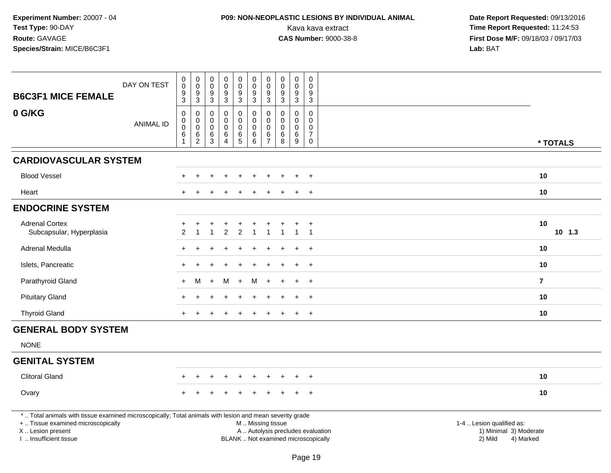# **P09: NON-NEOPLASTIC LESIONS BY INDIVIDUAL ANIMAL**

| <b>B6C3F1 MICE FEMALE</b>                                                                                                                                                                     | DAY ON TEST      | $\pmb{0}$<br>$\mathbf 0$<br>9                                    | $\pmb{0}$<br>$\pmb{0}$<br>9                                        | $\pmb{0}$<br>$\mathbf 0$<br>$9\,$                                | $\pmb{0}$<br>$\mathsf{O}\xspace$<br>$9\,$                      | $\pmb{0}$<br>$\mathbf 0$<br>9                                | $\pmb{0}$<br>$\mathsf{O}\xspace$<br>9                        | $\mathbf 0$<br>$\mathbf 0$<br>9                                 | $\mathbf 0$<br>$\mathbf 0$<br>9                     | $\pmb{0}$<br>$\pmb{0}$<br>9                                | $\boldsymbol{0}$<br>$\Omega$<br>9                                          |                                                                                                                  |          |
|-----------------------------------------------------------------------------------------------------------------------------------------------------------------------------------------------|------------------|------------------------------------------------------------------|--------------------------------------------------------------------|------------------------------------------------------------------|----------------------------------------------------------------|--------------------------------------------------------------|--------------------------------------------------------------|-----------------------------------------------------------------|-----------------------------------------------------|------------------------------------------------------------|----------------------------------------------------------------------------|------------------------------------------------------------------------------------------------------------------|----------|
|                                                                                                                                                                                               |                  | $\overline{3}$                                                   | $\sqrt{3}$                                                         | $\overline{3}$                                                   | $\mathbf{3}$                                                   | $\overline{3}$                                               | $\overline{3}$                                               | $\mathbf{3}$                                                    | $\mathbf{3}$                                        | $\overline{3}$                                             | $\mathbf{3}$                                                               |                                                                                                                  |          |
| 0 G/KG                                                                                                                                                                                        | <b>ANIMAL ID</b> | $\pmb{0}$<br>$\mathbf 0$<br>$\mathbf 0$<br>$\,6$<br>$\mathbf{1}$ | $\mathbf 0$<br>$\mathbf 0$<br>$\pmb{0}$<br>$\,6$<br>$\overline{2}$ | $\mathbf 0$<br>$\mathbf 0$<br>$\mathbf 0$<br>6<br>$\overline{3}$ | $\mathbf 0$<br>0<br>$\mathsf{O}\xspace$<br>6<br>$\overline{4}$ | 0<br>$\mathsf{O}\xspace$<br>$\pmb{0}$<br>6<br>$\overline{5}$ | $\pmb{0}$<br>$\mathbf 0$<br>$\pmb{0}$<br>6<br>$6\phantom{1}$ | $\mathbf{0}$<br>$\mathbf 0$<br>$\pmb{0}$<br>6<br>$\overline{7}$ | $\mathbf 0$<br>$\mathbf 0$<br>$\mathbf 0$<br>6<br>8 | $\mathbf 0$<br>0<br>$\pmb{0}$<br>$\,6\,$<br>$\overline{9}$ | $\mathbf 0$<br>$\mathbf 0$<br>$\mathbf 0$<br>$\overline{7}$<br>$\mathbf 0$ |                                                                                                                  | * TOTALS |
| <b>CARDIOVASCULAR SYSTEM</b>                                                                                                                                                                  |                  |                                                                  |                                                                    |                                                                  |                                                                |                                                              |                                                              |                                                                 |                                                     |                                                            |                                                                            |                                                                                                                  |          |
| <b>Blood Vessel</b>                                                                                                                                                                           |                  |                                                                  |                                                                    |                                                                  |                                                                |                                                              |                                                              |                                                                 |                                                     |                                                            | $\overline{ }$                                                             | 10                                                                                                               |          |
| Heart                                                                                                                                                                                         |                  |                                                                  |                                                                    |                                                                  |                                                                |                                                              |                                                              |                                                                 |                                                     |                                                            | $\pm$                                                                      | 10                                                                                                               |          |
| <b>ENDOCRINE SYSTEM</b>                                                                                                                                                                       |                  |                                                                  |                                                                    |                                                                  |                                                                |                                                              |                                                              |                                                                 |                                                     |                                                            |                                                                            |                                                                                                                  |          |
| <b>Adrenal Cortex</b><br>Subcapsular, Hyperplasia                                                                                                                                             |                  | $\overline{c}$                                                   | $\overline{1}$                                                     |                                                                  | $\overline{c}$                                                 | $\overline{2}$                                               |                                                              |                                                                 | -1                                                  | $\mathbf{1}$                                               | $\overline{1}$                                                             | 10                                                                                                               | $10$ 1.3 |
| Adrenal Medulla                                                                                                                                                                               |                  |                                                                  |                                                                    |                                                                  |                                                                |                                                              |                                                              |                                                                 |                                                     | $\div$                                                     | $+$                                                                        | 10                                                                                                               |          |
| Islets, Pancreatic                                                                                                                                                                            |                  |                                                                  |                                                                    |                                                                  |                                                                |                                                              |                                                              |                                                                 |                                                     | $\ddot{+}$                                                 | $+$                                                                        | 10                                                                                                               |          |
| Parathyroid Gland                                                                                                                                                                             |                  |                                                                  | м                                                                  |                                                                  | м                                                              | $\ddot{}$                                                    | M                                                            |                                                                 |                                                     |                                                            | $\ddot{}$                                                                  | $\overline{7}$                                                                                                   |          |
| <b>Pituitary Gland</b>                                                                                                                                                                        |                  |                                                                  |                                                                    |                                                                  |                                                                |                                                              |                                                              |                                                                 |                                                     |                                                            | $\overline{1}$                                                             | 10                                                                                                               |          |
| <b>Thyroid Gland</b>                                                                                                                                                                          |                  |                                                                  |                                                                    |                                                                  |                                                                |                                                              |                                                              |                                                                 |                                                     | $\ddot{+}$                                                 | $+$                                                                        | 10                                                                                                               |          |
| <b>GENERAL BODY SYSTEM</b>                                                                                                                                                                    |                  |                                                                  |                                                                    |                                                                  |                                                                |                                                              |                                                              |                                                                 |                                                     |                                                            |                                                                            |                                                                                                                  |          |
| <b>NONE</b>                                                                                                                                                                                   |                  |                                                                  |                                                                    |                                                                  |                                                                |                                                              |                                                              |                                                                 |                                                     |                                                            |                                                                            |                                                                                                                  |          |
| <b>GENITAL SYSTEM</b>                                                                                                                                                                         |                  |                                                                  |                                                                    |                                                                  |                                                                |                                                              |                                                              |                                                                 |                                                     |                                                            |                                                                            |                                                                                                                  |          |
| <b>Clitoral Gland</b>                                                                                                                                                                         |                  |                                                                  |                                                                    |                                                                  |                                                                |                                                              |                                                              |                                                                 |                                                     |                                                            |                                                                            | 10                                                                                                               |          |
| Ovary                                                                                                                                                                                         |                  |                                                                  |                                                                    |                                                                  |                                                                |                                                              |                                                              |                                                                 |                                                     |                                                            | $+$                                                                        | 10                                                                                                               |          |
| *  Total animals with tissue examined microscopically; Total animals with lesion and mean severity grade<br>+  Tissue examined microscopically<br>X  Lesion present<br>I. Insufficient tissue |                  |                                                                  |                                                                    |                                                                  |                                                                |                                                              | M  Missing tissue<br>BLANK  Not examined microscopically     |                                                                 |                                                     |                                                            |                                                                            | 1-4  Lesion qualified as:<br>A  Autolysis precludes evaluation<br>1) Minimal 3) Moderate<br>2) Mild<br>4) Marked |          |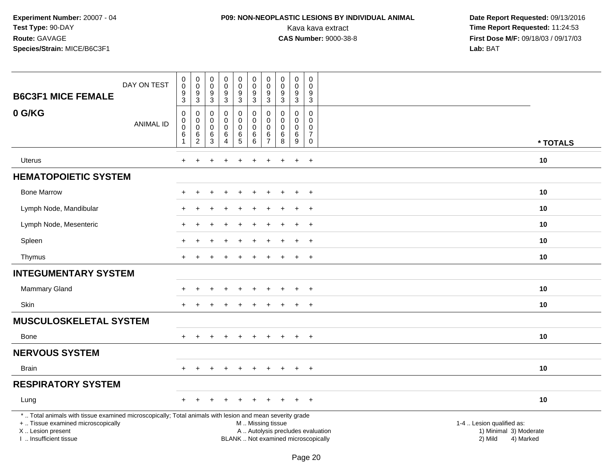### **P09: NON-NEOPLASTIC LESIONS BY INDIVIDUAL ANIMAL**

| <b>B6C3F1 MICE FEMALE</b>                                                                                                                                                                     | DAY ON TEST      | $_{\rm 0}^{\rm 0}$<br>$\boldsymbol{9}$<br>$\mathbf{3}$ | $\pmb{0}$<br>$\mathsf{O}\xspace$<br>$\boldsymbol{9}$<br>$\mathbf{3}$ | $\pmb{0}$<br>$\mathbf 0$<br>$\boldsymbol{9}$<br>$\mathbf{3}$              | $\pmb{0}$<br>$\mathsf{O}\xspace$<br>$\boldsymbol{9}$<br>$\mathbf{3}$   | $\mathsf{O}\xspace$<br>0<br>$\boldsymbol{9}$<br>3 | $\pmb{0}$<br>$\pmb{0}$<br>$\boldsymbol{9}$<br>$\mathbf{3}$ | $\mathbf 0$<br>$\mathbf 0$<br>$\boldsymbol{9}$<br>$\mathbf{3}$   | $\mathbf 0$<br>$\mathbf 0$<br>$\boldsymbol{9}$<br>3 | $\pmb{0}$<br>$\pmb{0}$<br>$\boldsymbol{9}$<br>3         | $\pmb{0}$<br>$\mathbf 0$<br>9<br>3                            |                                                                                                                                                         |  |
|-----------------------------------------------------------------------------------------------------------------------------------------------------------------------------------------------|------------------|--------------------------------------------------------|----------------------------------------------------------------------|---------------------------------------------------------------------------|------------------------------------------------------------------------|---------------------------------------------------|------------------------------------------------------------|------------------------------------------------------------------|-----------------------------------------------------|---------------------------------------------------------|---------------------------------------------------------------|---------------------------------------------------------------------------------------------------------------------------------------------------------|--|
| 0 G/KG                                                                                                                                                                                        | <b>ANIMAL ID</b> | 0<br>$\mathbf 0$<br>$\boldsymbol{0}$<br>$\,6$<br>1     | 0<br>$\pmb{0}$<br>$\mathsf{O}\xspace$<br>6<br>$\overline{2}$         | $\mathbf 0$<br>$\boldsymbol{0}$<br>$\overline{0}$<br>$6\phantom{1}6$<br>3 | $\mathbf 0$<br>$\mathsf 0$<br>$\mathbf 0$<br>$\,6\,$<br>$\overline{4}$ | 0<br>$\mathbf 0$<br>$\mathbf 0$<br>$\,6\,$<br>5   | $\mathbf 0$<br>$\pmb{0}$<br>$\mathbf 0$<br>$\,6\,$<br>6    | $\mathbf 0$<br>$\mathbf 0$<br>$\mathbf 0$<br>6<br>$\overline{7}$ | $\Omega$<br>$\mathbf 0$<br>$\mathbf 0$<br>6<br>8    | 0<br>$\mathsf{O}\xspace$<br>$\mathbf 0$<br>$\,6\,$<br>9 | $\mathbf 0$<br>$\mathsf 0$<br>$\mathbf 0$<br>7<br>$\mathbf 0$ | * TOTALS                                                                                                                                                |  |
| Uterus                                                                                                                                                                                        |                  | $\overline{+}$                                         | $\ddot{}$                                                            | ÷.                                                                        | $\ddot{}$                                                              | $\ddot{}$                                         | $\ddot{}$                                                  | +                                                                | $\ddot{}$                                           | $\ddot{}$                                               | $+$                                                           | 10                                                                                                                                                      |  |
| <b>HEMATOPOIETIC SYSTEM</b>                                                                                                                                                                   |                  |                                                        |                                                                      |                                                                           |                                                                        |                                                   |                                                            |                                                                  |                                                     |                                                         |                                                               |                                                                                                                                                         |  |
| <b>Bone Marrow</b>                                                                                                                                                                            |                  |                                                        |                                                                      |                                                                           |                                                                        |                                                   |                                                            |                                                                  |                                                     |                                                         | $\ddot{}$                                                     | 10                                                                                                                                                      |  |
| Lymph Node, Mandibular                                                                                                                                                                        |                  |                                                        |                                                                      |                                                                           |                                                                        |                                                   |                                                            |                                                                  |                                                     |                                                         | $\overline{+}$                                                | 10                                                                                                                                                      |  |
| Lymph Node, Mesenteric                                                                                                                                                                        |                  |                                                        |                                                                      |                                                                           |                                                                        |                                                   |                                                            |                                                                  |                                                     | $\ddot{}$                                               | $+$                                                           | 10                                                                                                                                                      |  |
| Spleen                                                                                                                                                                                        |                  |                                                        |                                                                      |                                                                           |                                                                        |                                                   |                                                            |                                                                  |                                                     |                                                         | $\overline{+}$                                                | 10                                                                                                                                                      |  |
| Thymus                                                                                                                                                                                        |                  |                                                        |                                                                      |                                                                           |                                                                        |                                                   |                                                            |                                                                  |                                                     |                                                         | $^{+}$                                                        | 10                                                                                                                                                      |  |
| <b>INTEGUMENTARY SYSTEM</b>                                                                                                                                                                   |                  |                                                        |                                                                      |                                                                           |                                                                        |                                                   |                                                            |                                                                  |                                                     |                                                         |                                                               |                                                                                                                                                         |  |
| <b>Mammary Gland</b>                                                                                                                                                                          |                  |                                                        |                                                                      |                                                                           |                                                                        |                                                   |                                                            |                                                                  |                                                     |                                                         | $\ddot{}$                                                     | 10                                                                                                                                                      |  |
| Skin                                                                                                                                                                                          |                  |                                                        |                                                                      |                                                                           |                                                                        |                                                   |                                                            |                                                                  |                                                     | $\ddot{}$                                               | $^{+}$                                                        | 10                                                                                                                                                      |  |
| <b>MUSCULOSKELETAL SYSTEM</b>                                                                                                                                                                 |                  |                                                        |                                                                      |                                                                           |                                                                        |                                                   |                                                            |                                                                  |                                                     |                                                         |                                                               |                                                                                                                                                         |  |
| <b>Bone</b>                                                                                                                                                                                   |                  | $\ddot{}$                                              |                                                                      |                                                                           |                                                                        |                                                   |                                                            |                                                                  |                                                     | $\ddot{}$                                               | $^{+}$                                                        | 10                                                                                                                                                      |  |
| <b>NERVOUS SYSTEM</b>                                                                                                                                                                         |                  |                                                        |                                                                      |                                                                           |                                                                        |                                                   |                                                            |                                                                  |                                                     |                                                         |                                                               |                                                                                                                                                         |  |
| <b>Brain</b>                                                                                                                                                                                  |                  | $+$                                                    | $\ddot{}$                                                            |                                                                           | $\ddot{}$                                                              | $\pm$                                             | $\ddot{}$                                                  | $\ddot{}$                                                        | $\pm$                                               | $+$                                                     | $+$                                                           | 10                                                                                                                                                      |  |
| <b>RESPIRATORY SYSTEM</b>                                                                                                                                                                     |                  |                                                        |                                                                      |                                                                           |                                                                        |                                                   |                                                            |                                                                  |                                                     |                                                         |                                                               |                                                                                                                                                         |  |
| Lung                                                                                                                                                                                          |                  |                                                        |                                                                      |                                                                           |                                                                        |                                                   |                                                            |                                                                  |                                                     |                                                         | $\ddot{}$                                                     | 10                                                                                                                                                      |  |
| *  Total animals with tissue examined microscopically; Total animals with lesion and mean severity grade<br>+  Tissue examined microscopically<br>X  Lesion present<br>I  Insufficient tissue |                  |                                                        |                                                                      |                                                                           |                                                                        |                                                   | M  Missing tissue                                          |                                                                  |                                                     |                                                         |                                                               | 1-4  Lesion qualified as:<br>A  Autolysis precludes evaluation<br>1) Minimal 3) Moderate<br>BLANK  Not examined microscopically<br>2) Mild<br>4) Marked |  |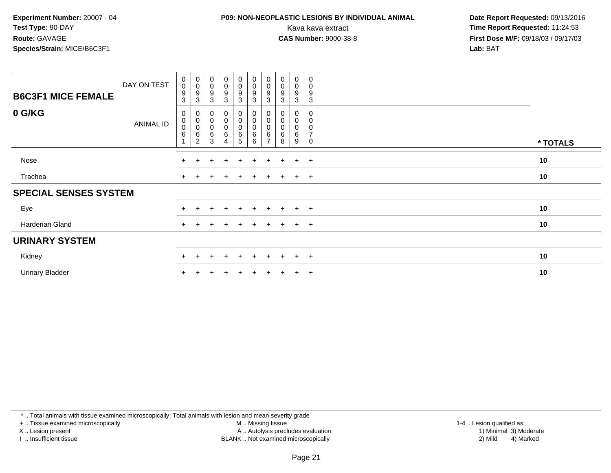### **P09: NON-NEOPLASTIC LESIONS BY INDIVIDUAL ANIMAL**

 **Date Report Requested:** 09/13/2016 Kava kava extract **Time Report Requested:** 11:24:53<br>**CAS Number:** 9000-38-8 **Time Report Requested:** 11:24:53 **First Dose M/F:** 09/18/03 / 09/17/03<br>**Lab:** BAT **Lab:** BAT

| <b>B6C3F1 MICE FEMALE</b>    | DAY ON TEST | $\begin{smallmatrix}0\\0\end{smallmatrix}$<br>$\boldsymbol{9}$<br>$\sqrt{3}$ | $\begin{smallmatrix}0\0\0\9\end{smallmatrix}$<br>$\sqrt{3}$      | $\begin{smallmatrix}0\0\0\9\end{smallmatrix}$<br>3  | $\begin{smallmatrix}0\0\0\end{smallmatrix}$<br>9<br>3                | $\begin{smallmatrix}0\0\0\9\end{smallmatrix}$<br>3                            | $\begin{smallmatrix} 0\\0 \end{smallmatrix}$<br>$\boldsymbol{9}$<br>$\mathbf{3}$ | $_{\rm 0}^{\rm 0}$<br>9<br>3 | $\begin{smallmatrix} 0\\0 \end{smallmatrix}$<br>$\boldsymbol{9}$<br>3 | $_{\rm 0}^{\rm 0}$<br>9<br>3 | 0<br>$\pmb{0}$<br>9<br>$\mathbf{3}$                  |          |
|------------------------------|-------------|------------------------------------------------------------------------------|------------------------------------------------------------------|-----------------------------------------------------|----------------------------------------------------------------------|-------------------------------------------------------------------------------|----------------------------------------------------------------------------------|------------------------------|-----------------------------------------------------------------------|------------------------------|------------------------------------------------------|----------|
| 0 G/KG                       | ANIMAL ID   | 0<br>$\begin{smallmatrix}0\\0\end{smallmatrix}$<br>$\,6$                     | $\begin{matrix} 0 \\ 0 \\ 0 \\ 6 \end{matrix}$<br>$\overline{2}$ | $\begin{matrix} 0 \\ 0 \\ 0 \\ 6 \end{matrix}$<br>3 | 0<br>$\begin{matrix} 0 \\ 0 \end{matrix}$<br>$\,6$<br>$\overline{4}$ | 0<br>$\begin{smallmatrix} 0\\0 \end{smallmatrix}$<br>$\,6$<br>$5\phantom{.0}$ | $\begin{matrix}0\0\0\end{matrix}$<br>$\,6$<br>6                                  | 0<br>$\pmb{0}$<br>6          | 0<br>0<br>$\pmb{0}$<br>6<br>8                                         | 0<br>0<br>0<br>6<br>9        | 0<br>0<br>$\pmb{0}$<br>$\overline{7}$<br>$\mathbf 0$ | * TOTALS |
| Nose                         |             | $+$                                                                          |                                                                  | $\div$                                              | $\ddot{}$                                                            | $+$                                                                           | $+$                                                                              | $+$                          | $\pm$                                                                 | $+$                          | $+$                                                  | 10       |
| Trachea                      |             | $+$                                                                          | $\pm$                                                            | $\div$                                              | $+$                                                                  | $+$                                                                           | $+$                                                                              | $+$                          | $+$                                                                   | $+$                          | $+$                                                  | 10       |
| <b>SPECIAL SENSES SYSTEM</b> |             |                                                                              |                                                                  |                                                     |                                                                      |                                                                               |                                                                                  |                              |                                                                       |                              |                                                      |          |
| Eye                          |             |                                                                              |                                                                  |                                                     |                                                                      |                                                                               | ÷                                                                                |                              |                                                                       | $\pm$                        | $+$                                                  | 10       |
| Harderian Gland              |             | $^+$                                                                         |                                                                  | $+$                                                 | $\ddot{}$                                                            | $+$                                                                           | $\pm$                                                                            | $+$                          |                                                                       | $+$                          | $+$                                                  | 10       |
| <b>URINARY SYSTEM</b>        |             |                                                                              |                                                                  |                                                     |                                                                      |                                                                               |                                                                                  |                              |                                                                       |                              |                                                      |          |
| Kidney                       |             | $\pm$                                                                        |                                                                  | $\ddot{}$                                           | $\ddot{}$                                                            | $+$                                                                           | $+$                                                                              | $+$                          | $\ddot{}$                                                             | $+$                          | $+$                                                  | 10       |
| <b>Urinary Bladder</b>       |             |                                                                              |                                                                  |                                                     |                                                                      |                                                                               |                                                                                  |                              |                                                                       | $\pm$                        | $+$                                                  | 10       |

\* .. Total animals with tissue examined microscopically; Total animals with lesion and mean severity grade

+ .. Tissue examined microscopically

X .. Lesion present

I .. Insufficient tissue

M .. Missing tissue

 Lesion present A .. Autolysis precludes evaluation 1) Minimal 3) ModerateBLANK .. Not examined microscopically 2) Mild 4) Marked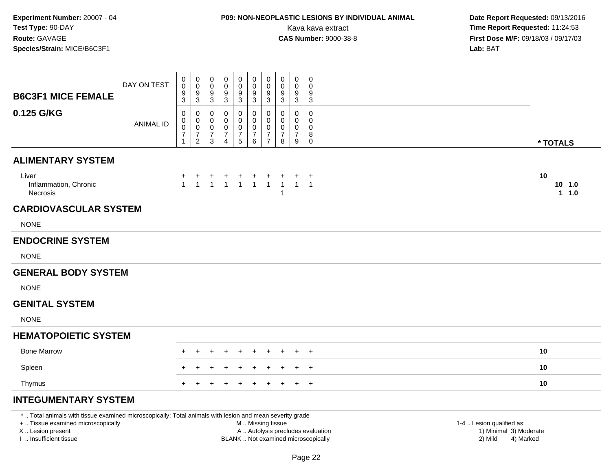# **P09: NON-NEOPLASTIC LESIONS BY INDIVIDUAL ANIMAL**

 **Date Report Requested:** 09/13/2016 Kava kava extract **Time Report Requested:** 11:24:53<br>**CAS Number:** 9000-38-8 **Time Report Requested:** 11:24:53 **First Dose M/F:** 09/18/03 / 09/17/03<br>**Lab: BAT Lab:** BAT

| <b>B6C3F1 MICE FEMALE</b>                         |                  | $\mathbf 0$<br>9<br>3                   | 0<br>0<br>9<br>$\mathbf{3}$                               | 0<br>0<br>9<br>3                   | 0<br>0<br>9<br>3              | 0<br>$\mathbf 0$<br>$\boldsymbol{9}$<br>$\mathbf{3}$            | $\mathbf 0$<br>$\mathbf 0$<br>9<br>$\mathbf{3}$              | 0<br>$\mathbf 0$<br>9<br>$\mathbf{3}$                                          | 0<br>0<br>9<br>3             | 0<br>0<br>9<br>3                          | 0<br>0<br>9<br>$\mathbf{3}$                       |                             |
|---------------------------------------------------|------------------|-----------------------------------------|-----------------------------------------------------------|------------------------------------|-------------------------------|-----------------------------------------------------------------|--------------------------------------------------------------|--------------------------------------------------------------------------------|------------------------------|-------------------------------------------|---------------------------------------------------|-----------------------------|
| 0.125 G/KG                                        | <b>ANIMAL ID</b> | 0<br>$\mathbf 0$<br>0<br>$\overline{7}$ | 0<br>0<br>$\mathbf 0$<br>$\overline{7}$<br>$\overline{2}$ | 0<br>0<br>0<br>$\overline{7}$<br>3 | 0<br>0<br>7<br>$\overline{4}$ | $\mathbf 0$<br>0<br>$\pmb{0}$<br>$\boldsymbol{7}$<br>$\sqrt{5}$ | 0<br>$\mathbf 0$<br>$\mathbf 0$<br>$\overline{7}$<br>$\,6\,$ | $\mathbf{0}$<br>$\mathbf 0$<br>$\mathbf 0$<br>$\overline{7}$<br>$\overline{7}$ | $\Omega$<br>0<br>0<br>7<br>8 | $\mathbf 0$<br>0<br>$\mathbf 0$<br>7<br>9 | $\mathbf 0$<br>0<br>0<br>8<br>$\mathsf{O}\xspace$ | * TOTALS                    |
| <b>ALIMENTARY SYSTEM</b>                          |                  |                                         |                                                           |                                    |                               |                                                                 |                                                              |                                                                                |                              |                                           |                                                   |                             |
| Liver<br>Inflammation, Chronic<br><b>Necrosis</b> |                  | $\blacktriangleleft$                    | $\overline{1}$                                            | $\mathbf +$<br>$\overline{1}$      | $\overline{1}$                | $\overline{1}$                                                  | $\overline{1}$                                               | $\overline{1}$                                                                 | $\mathbf{1}$<br>$\mathbf{1}$ | $\mathbf{1}$                              | $\ddot{}$<br>$\overline{1}$                       | 10<br>$10$ 1.0<br>$1 \t1.0$ |
| <b>CARDIOVASCULAR SYSTEM</b>                      |                  |                                         |                                                           |                                    |                               |                                                                 |                                                              |                                                                                |                              |                                           |                                                   |                             |
| <b>NONE</b>                                       |                  |                                         |                                                           |                                    |                               |                                                                 |                                                              |                                                                                |                              |                                           |                                                   |                             |
| <b>ENDOCRINE SYSTEM</b>                           |                  |                                         |                                                           |                                    |                               |                                                                 |                                                              |                                                                                |                              |                                           |                                                   |                             |
| <b>NONE</b>                                       |                  |                                         |                                                           |                                    |                               |                                                                 |                                                              |                                                                                |                              |                                           |                                                   |                             |
| <b>GENERAL BODY SYSTEM</b>                        |                  |                                         |                                                           |                                    |                               |                                                                 |                                                              |                                                                                |                              |                                           |                                                   |                             |
| <b>NONE</b>                                       |                  |                                         |                                                           |                                    |                               |                                                                 |                                                              |                                                                                |                              |                                           |                                                   |                             |
| <b>GENITAL SYSTEM</b>                             |                  |                                         |                                                           |                                    |                               |                                                                 |                                                              |                                                                                |                              |                                           |                                                   |                             |
| <b>NONE</b>                                       |                  |                                         |                                                           |                                    |                               |                                                                 |                                                              |                                                                                |                              |                                           |                                                   |                             |
| <b>HEMATOPOIETIC SYSTEM</b>                       |                  |                                         |                                                           |                                    |                               |                                                                 |                                                              |                                                                                |                              |                                           |                                                   |                             |
| <b>Bone Marrow</b>                                |                  |                                         |                                                           |                                    |                               |                                                                 |                                                              |                                                                                |                              |                                           | $\overline{+}$                                    | 10                          |
| Spleen                                            |                  |                                         |                                                           |                                    |                               |                                                                 | $\pm$                                                        |                                                                                |                              | $\pm$                                     | $+$                                               | 10                          |
| Thymus                                            |                  |                                         |                                                           |                                    |                               |                                                                 |                                                              |                                                                                |                              | $\pm$                                     | $+$                                               | 10                          |
| <b>INTEGUMENTARY SYSTEM</b>                       |                  |                                         |                                                           |                                    |                               |                                                                 |                                                              |                                                                                |                              |                                           |                                                   |                             |

\* .. Total animals with tissue examined microscopically; Total animals with lesion and mean severity grade

+ .. Tissue examined microscopically

X .. Lesion present

I .. Insufficient tissue

M .. Missing tissue

A .. Autolysis precludes evaluation

BLANK .. Not examined microscopically 2) Mild 4) Marked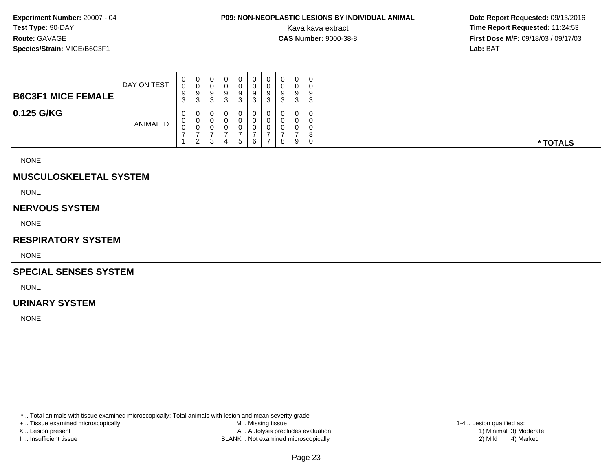## **P09: NON-NEOPLASTIC LESIONS BY INDIVIDUAL ANIMAL**

 **Date Report Requested:** 09/13/2016 Kava kava extract **Time Report Requested:** 11:24:53<br>**CAS Number:** 9000-38-8 **Time Report Requested:** 11:24:53 **First Dose M/F:** 09/18/03 / 09/17/03<br>**Lab:** BAT **Lab:** BAT

| <b>B6C3F1 MICE FEMALE</b> | DAY ON TEST      | $\mathbf{0}$<br>0<br>9<br>ົ<br>J. | $\mathbf{0}$<br>◡<br>9<br>3 | 0<br>υ<br>9<br>n<br>ບ            | 0<br>9 |  | 0<br>0<br>9<br>3 | 0<br>9<br>ົ | 0<br>0<br>9<br>3 | 0<br>0<br>9<br>ົ<br>C. | $\Omega$<br>ີ<br>u | د |
|---------------------------|------------------|-----------------------------------|-----------------------------|----------------------------------|--------|--|------------------|-------------|------------------|------------------------|--------------------|---|
| 0.125 G/KG                | <b>ANIMAL ID</b> | 0<br>0<br>0                       | U<br>U<br>v<br>2            | 0<br>υ<br>υ<br><sup>o</sup><br>◡ | 4      |  | 0<br>0<br>0<br>5 | 0<br>6      | 0<br>0<br>0      | 0<br>0<br>0<br>8       | 9                  |   |

NONE

### **MUSCULOSKELETAL SYSTEM**

NONE

#### **NERVOUS SYSTEM**

NONE

### **RESPIRATORY SYSTEM**

NONE

#### **SPECIAL SENSES SYSTEM**

NONE

### **URINARY SYSTEM**

NONE

\* .. Total animals with tissue examined microscopically; Total animals with lesion and mean severity grade

+ .. Tissue examined microscopically

X .. Lesion present

I .. Insufficient tissue

 M .. Missing tissueA .. Autolysis precludes evaluation

BLANK .. Not examined microscopically 2) Mild 4) Marked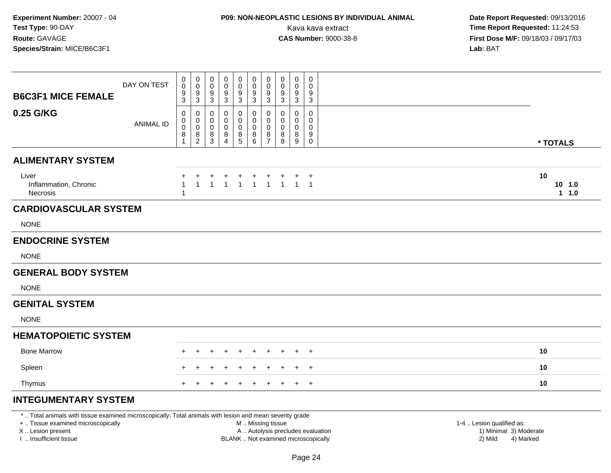# **P09: NON-NEOPLASTIC LESIONS BY INDIVIDUAL ANIMAL**

 **Date Report Requested:** 09/13/2016 Kava kava extract **Time Report Requested:** 11:24:53<br>**CAS Number:** 9000-38-8 **Time Report Requested:** 11:24:53 **First Dose M/F:** 09/18/03 / 09/17/03<br>**Lab:** BAT **Lab:** BAT

| <b>B6C3F1 MICE FEMALE</b>                                                                                | DAY ON TEST      | 0<br>0<br>9<br>3                  | 0<br>$\mathbf 0$<br>9<br>$\mathbf{3}$                                 | 0<br>0<br>9<br>$\mathbf{3}$   | 0<br>0<br>9<br>3                   | 0<br>0<br>$\boldsymbol{9}$<br>$\mathbf{3}$                   | 0<br>0<br>9<br>$\mathbf{3}$ | 0<br>$\mathbf 0$<br>9<br>3                       | 0<br>0<br>9<br>3                | 0<br>0<br>9<br>$\mathfrak{Z}$ | $\mathbf 0$<br>$\Omega$<br>9<br>$\mathbf{3}$     |                          |
|----------------------------------------------------------------------------------------------------------|------------------|-----------------------------------|-----------------------------------------------------------------------|-------------------------------|------------------------------------|--------------------------------------------------------------|-----------------------------|--------------------------------------------------|---------------------------------|-------------------------------|--------------------------------------------------|--------------------------|
| 0.25 G/KG                                                                                                | <b>ANIMAL ID</b> | 0<br>0<br>0<br>8                  | 0<br>0<br>$\pmb{0}$<br>$\begin{smallmatrix} 8 \\ 2 \end{smallmatrix}$ | 0<br>0<br>$\pmb{0}$<br>$^8_3$ | 0<br>0<br>0<br>8<br>$\overline{4}$ | 0<br>0<br>$\pmb{0}$<br>$\begin{array}{c} 8 \\ 5 \end{array}$ | 0<br>0<br>0<br>$^8_6$       | $\mathbf 0$<br>0<br>$\mathbf 0$<br>$\frac{8}{7}$ | 0<br>0<br>$\mathbf 0$<br>8<br>8 | 0<br>0<br>0<br>$\bf 8$<br>9   | $\mathbf 0$<br>$\Omega$<br>0<br>9<br>$\mathbf 0$ | * TOTALS                 |
| <b>ALIMENTARY SYSTEM</b>                                                                                 |                  |                                   |                                                                       |                               |                                    |                                                              |                             |                                                  |                                 |                               |                                                  |                          |
| Liver<br>Inflammation, Chronic<br>Necrosis                                                               |                  | ÷<br>$\mathbf{1}$<br>$\mathbf{1}$ | $\ddot{}$<br>$\mathbf{1}$                                             | $\ddot{}$<br>$\mathbf{1}$     |                                    |                                                              |                             |                                                  | + + + + + + +<br>1 1 1 1 1 1 1  |                               |                                                  | 10<br>10, 1.0<br>$1 1.0$ |
| <b>CARDIOVASCULAR SYSTEM</b>                                                                             |                  |                                   |                                                                       |                               |                                    |                                                              |                             |                                                  |                                 |                               |                                                  |                          |
| <b>NONE</b>                                                                                              |                  |                                   |                                                                       |                               |                                    |                                                              |                             |                                                  |                                 |                               |                                                  |                          |
| <b>ENDOCRINE SYSTEM</b>                                                                                  |                  |                                   |                                                                       |                               |                                    |                                                              |                             |                                                  |                                 |                               |                                                  |                          |
| <b>NONE</b>                                                                                              |                  |                                   |                                                                       |                               |                                    |                                                              |                             |                                                  |                                 |                               |                                                  |                          |
| <b>GENERAL BODY SYSTEM</b>                                                                               |                  |                                   |                                                                       |                               |                                    |                                                              |                             |                                                  |                                 |                               |                                                  |                          |
| <b>NONE</b>                                                                                              |                  |                                   |                                                                       |                               |                                    |                                                              |                             |                                                  |                                 |                               |                                                  |                          |
| <b>GENITAL SYSTEM</b>                                                                                    |                  |                                   |                                                                       |                               |                                    |                                                              |                             |                                                  |                                 |                               |                                                  |                          |
| <b>NONE</b>                                                                                              |                  |                                   |                                                                       |                               |                                    |                                                              |                             |                                                  |                                 |                               |                                                  |                          |
| <b>HEMATOPOIETIC SYSTEM</b>                                                                              |                  |                                   |                                                                       |                               |                                    |                                                              |                             |                                                  |                                 |                               |                                                  |                          |
| <b>Bone Marrow</b>                                                                                       |                  |                                   |                                                                       |                               |                                    |                                                              |                             |                                                  |                                 |                               | $^{+}$                                           | 10                       |
| Spleen                                                                                                   |                  |                                   |                                                                       |                               |                                    |                                                              |                             |                                                  |                                 |                               | $\overline{+}$                                   | 10                       |
| Thymus                                                                                                   |                  |                                   |                                                                       |                               |                                    |                                                              |                             |                                                  |                                 |                               | $+$                                              | 10                       |
| <b>INTEGUMENTARY SYSTEM</b>                                                                              |                  |                                   |                                                                       |                               |                                    |                                                              |                             |                                                  |                                 |                               |                                                  |                          |
| *  Total animals with tissue examined microscopically; Total animals with lesion and mean severity grade |                  |                                   |                                                                       |                               |                                    |                                                              |                             |                                                  |                                 |                               |                                                  |                          |

+ .. Tissue examined microscopically

X .. Lesion present

I .. Insufficient tissue

M .. Missing tissue

A .. Autolysis precludes evaluation 1) Minimal 30 (1) Minimal 30 (1) Minimal 3) Minimal 3) Minimal 3) Minimal 3<br>1) Minimal 30 (1) Minimal 3) Mild

BLANK .. Not examined microscopically 2) Mild 4) Marked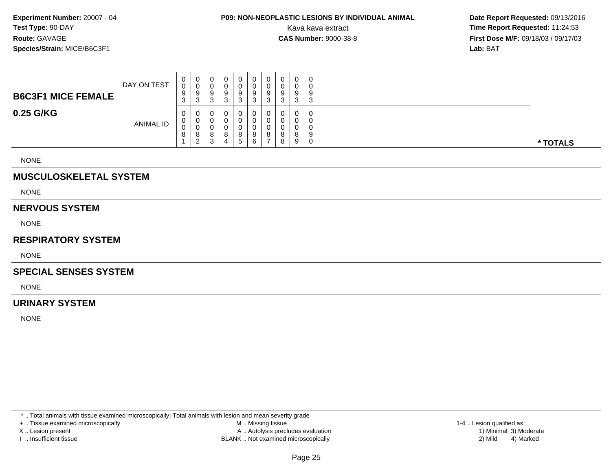## **P09: NON-NEOPLASTIC LESIONS BY INDIVIDUAL ANIMAL**

 **Date Report Requested:** 09/13/2016 Kava kava extract **Time Report Requested:** 11:24:53<br>**CAS Number:** 9000-38-8 **Time Report Requested:** 11:24:53 **First Dose M/F:** 09/18/03 / 09/17/03<br>**Lab:** BAT **Lab:** BAT

| <b>B6C3F1 MICE FEMALE</b> | DAY ON TEST      | U<br>0<br>ັ | 0<br>v<br>9                    | 0<br>v<br>9        | 0<br>9 | 0<br>0<br>9       | υ<br>a<br>×. | 9      |        | 0<br>0<br>9 |          |
|---------------------------|------------------|-------------|--------------------------------|--------------------|--------|-------------------|--------------|--------|--------|-------------|----------|
| 0.25 G/KG                 |                  | U           | ◠<br>ۍ<br>U                    | J<br>0<br>0        | 3<br>0 | C.<br>ບ<br>0<br>0 |              |        | 3<br>0 | 3<br>0<br>0 |          |
|                           | <b>ANIMAL ID</b> | U<br>U<br>O | v<br>v<br>8<br>ີ<br>$\epsilon$ | U<br>o<br><b>ن</b> | 8<br>4 | 0<br>8<br>5       | o            | о<br>о | o<br>9 | 0<br>9<br>0 | * TOTALS |

NONE

### **MUSCULOSKELETAL SYSTEM**

NONE

#### **NERVOUS SYSTEM**

NONE

### **RESPIRATORY SYSTEM**

NONE

#### **SPECIAL SENSES SYSTEM**

NONE

### **URINARY SYSTEM**

NONE

\* .. Total animals with tissue examined microscopically; Total animals with lesion and mean severity grade

+ .. Tissue examined microscopically

X .. Lesion present

I .. Insufficient tissue

 M .. Missing tissueA .. Autolysis precludes evaluation

BLANK .. Not examined microscopically 2) Mild 4) Marked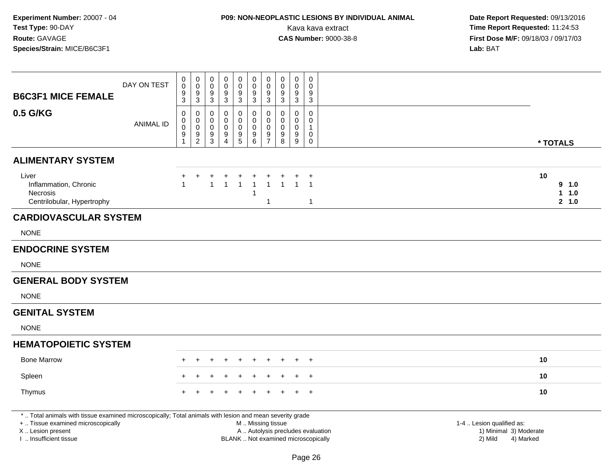# **P09: NON-NEOPLASTIC LESIONS BY INDIVIDUAL ANIMAL**

| <b>B6C3F1 MICE FEMALE</b>                                                                                                                                                                     | DAY ON TEST      | 0<br>$\ddot{\mathbf{0}}$<br>$\boldsymbol{9}$              | $\begin{smallmatrix}0\\0\end{smallmatrix}$<br>$\frac{9}{3}$ | $\pmb{0}$<br>$\ddot{\mathbf{0}}$<br>$\frac{9}{3}$         | $\mathbf 0$<br>0<br>$\frac{9}{3}$            | $_{\rm 0}^{\rm 0}$<br>$\frac{9}{3}$                                              | $\pmb{0}$<br>$\ddot{\mathbf{0}}$<br>$\frac{9}{3}$                      | $\mathbf 0$<br>$\pmb{0}$<br>$\boldsymbol{9}$                               | $\mathbf 0$<br>$\mathbf 0$<br>9                             | $\mathbf 0$<br>$\mathbf 0$<br>9                                                  | $\pmb{0}$<br>0<br>9                                                                    |                                                                             |                             |
|-----------------------------------------------------------------------------------------------------------------------------------------------------------------------------------------------|------------------|-----------------------------------------------------------|-------------------------------------------------------------|-----------------------------------------------------------|----------------------------------------------|----------------------------------------------------------------------------------|------------------------------------------------------------------------|----------------------------------------------------------------------------|-------------------------------------------------------------|----------------------------------------------------------------------------------|----------------------------------------------------------------------------------------|-----------------------------------------------------------------------------|-----------------------------|
| 0.5 G/KG                                                                                                                                                                                      | <b>ANIMAL ID</b> | $\overline{3}$<br>0<br>0<br>$\pmb{0}$<br>$\boldsymbol{9}$ | 0<br>$\mathbf 0$<br>$\pmb{0}$<br>$\frac{9}{2}$              | $\pmb{0}$<br>$\mathbf 0$<br>$\mathsf{O}$<br>$\frac{9}{3}$ | 0<br>$\mathbf 0$<br>0<br>9<br>$\overline{4}$ | $\mathbf 0$<br>$\mathbf 0$<br>$\pmb{0}$<br>$\begin{array}{c} 9 \\ 5 \end{array}$ | 0<br>$\mathbf 0$<br>$\pmb{0}$<br>$\begin{array}{c} 9 \\ 6 \end{array}$ | $\overline{3}$<br>$\pmb{0}$<br>$\mathbf 0$<br>$\mathbf 0$<br>$\frac{9}{7}$ | $\overline{3}$<br>0<br>$\mathbf 0$<br>$\mathbf 0$<br>9<br>8 | $\overline{3}$<br>$\mathbf 0$<br>$\mathbf 0$<br>$\pmb{0}$<br>9<br>$\overline{9}$ | $\overline{3}$<br>0<br>$\mathbf 0$<br>$\mathbf{1}$<br>$\pmb{0}$<br>$\mathsf{O}\xspace$ | * TOTALS                                                                    |                             |
| <b>ALIMENTARY SYSTEM</b>                                                                                                                                                                      |                  |                                                           |                                                             |                                                           |                                              |                                                                                  |                                                                        |                                                                            |                                                             |                                                                                  |                                                                                        |                                                                             |                             |
| Liver<br>Inflammation, Chronic<br><b>Necrosis</b><br>Centrilobular, Hypertrophy                                                                                                               |                  |                                                           | +                                                           | 1                                                         | 1                                            | $\overline{1}$                                                                   | $\overline{1}$<br>1                                                    | $\overline{1}$<br>$\overline{1}$                                           | $\mathbf{1}$                                                | $\mathbf{1}$                                                                     | $\ddot{}$<br>$\overline{1}$<br>$\mathbf{1}$                                            | 10                                                                          | 9 1.0<br>1.0<br>1.<br>2 1.0 |
| <b>CARDIOVASCULAR SYSTEM</b>                                                                                                                                                                  |                  |                                                           |                                                             |                                                           |                                              |                                                                                  |                                                                        |                                                                            |                                                             |                                                                                  |                                                                                        |                                                                             |                             |
| <b>NONE</b>                                                                                                                                                                                   |                  |                                                           |                                                             |                                                           |                                              |                                                                                  |                                                                        |                                                                            |                                                             |                                                                                  |                                                                                        |                                                                             |                             |
| <b>ENDOCRINE SYSTEM</b>                                                                                                                                                                       |                  |                                                           |                                                             |                                                           |                                              |                                                                                  |                                                                        |                                                                            |                                                             |                                                                                  |                                                                                        |                                                                             |                             |
| <b>NONE</b>                                                                                                                                                                                   |                  |                                                           |                                                             |                                                           |                                              |                                                                                  |                                                                        |                                                                            |                                                             |                                                                                  |                                                                                        |                                                                             |                             |
| <b>GENERAL BODY SYSTEM</b>                                                                                                                                                                    |                  |                                                           |                                                             |                                                           |                                              |                                                                                  |                                                                        |                                                                            |                                                             |                                                                                  |                                                                                        |                                                                             |                             |
| <b>NONE</b>                                                                                                                                                                                   |                  |                                                           |                                                             |                                                           |                                              |                                                                                  |                                                                        |                                                                            |                                                             |                                                                                  |                                                                                        |                                                                             |                             |
| <b>GENITAL SYSTEM</b>                                                                                                                                                                         |                  |                                                           |                                                             |                                                           |                                              |                                                                                  |                                                                        |                                                                            |                                                             |                                                                                  |                                                                                        |                                                                             |                             |
| <b>NONE</b>                                                                                                                                                                                   |                  |                                                           |                                                             |                                                           |                                              |                                                                                  |                                                                        |                                                                            |                                                             |                                                                                  |                                                                                        |                                                                             |                             |
| <b>HEMATOPOIETIC SYSTEM</b>                                                                                                                                                                   |                  |                                                           |                                                             |                                                           |                                              |                                                                                  |                                                                        |                                                                            |                                                             |                                                                                  |                                                                                        |                                                                             |                             |
| <b>Bone Marrow</b>                                                                                                                                                                            |                  |                                                           |                                                             |                                                           |                                              |                                                                                  |                                                                        |                                                                            |                                                             |                                                                                  | $\ddot{}$                                                                              | 10                                                                          |                             |
| Spleen                                                                                                                                                                                        |                  |                                                           |                                                             |                                                           |                                              |                                                                                  |                                                                        |                                                                            |                                                             |                                                                                  | $\ddot{}$                                                                              | 10                                                                          |                             |
| Thymus                                                                                                                                                                                        |                  |                                                           |                                                             |                                                           |                                              |                                                                                  |                                                                        |                                                                            |                                                             |                                                                                  | $\ddot{}$                                                                              | 10                                                                          |                             |
| *  Total animals with tissue examined microscopically; Total animals with lesion and mean severity grade<br>+  Tissue examined microscopically<br>X  Lesion present<br>I. Insufficient tissue |                  |                                                           |                                                             |                                                           |                                              |                                                                                  | M  Missing tissue                                                      |                                                                            |                                                             |                                                                                  | A  Autolysis precludes evaluation<br>BLANK  Not examined microscopically               | 1-4  Lesion qualified as:<br>1) Minimal 3) Moderate<br>2) Mild<br>4) Marked |                             |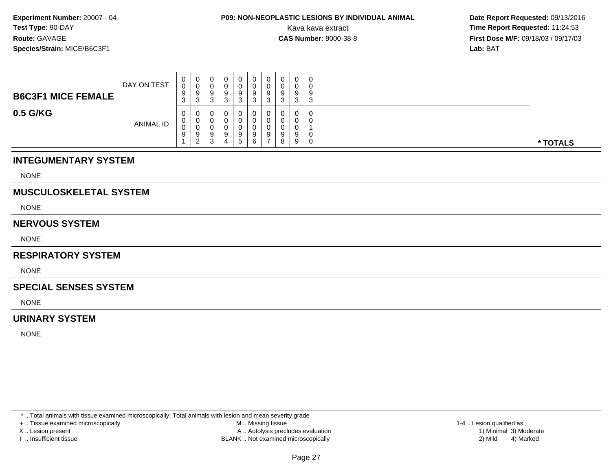## **P09: NON-NEOPLASTIC LESIONS BY INDIVIDUAL ANIMAL**

 **Date Report Requested:** 09/13/2016 Kava kava extract **Time Report Requested:** 11:24:53<br>**CAS Number:** 9000-38-8<br>**Time Report Requested:** 11:24:53 **First Dose M/F:** 09/18/03 / 09/17/03<br>**Lab:** BAT **Lab:** BAT

| <b>B6C3F1 MICE FEMALE</b> | DAY ON TEST      | $\mathbf 0$<br>0<br>9<br>$\sim$<br>- ၁ | $\mathbf 0$<br>v<br>9<br>3                   | 0<br>υ<br>9<br>ົ<br>ັ      | - 0    | 0<br>0<br>9<br>3  | 0<br>9<br>ົ<br>J | 0<br>9<br>3       | ◡<br>v<br>У<br>ົ<br>ັ | 0<br>0<br>9<br>3           | $\mathbf 0$<br>9<br>$\sim$<br>J |          |
|---------------------------|------------------|----------------------------------------|----------------------------------------------|----------------------------|--------|-------------------|------------------|-------------------|-----------------------|----------------------------|---------------------------------|----------|
| 0.5 G/KG                  | <b>ANIMAL ID</b> | $\mathbf 0$<br>$\mathbf{0}$<br>0<br>9  | $\mathbf{0}$<br>U<br>U<br>9<br>2<br><u>_</u> | 0<br>0<br>υ<br>9<br>ີ<br>ບ | a<br>д | 0<br>υ<br>9<br>5. | 0<br>9<br>6      | 0<br>0<br>-0<br>9 | U<br>9<br>8           | $\mathbf 0$<br>0<br>9<br>9 | 0                               | * TOTALS |

### **INTEGUMENTARY SYSTEM**

NONE

### **MUSCULOSKELETAL SYSTEM**

NONE

### **NERVOUS SYSTEM**

NONE

#### **RESPIRATORY SYSTEM**

NONE

#### **SPECIAL SENSES SYSTEM**

NONE

### **URINARY SYSTEM**

NONE

\* .. Total animals with tissue examined microscopically; Total animals with lesion and mean severity grade

+ .. Tissue examined microscopically

X .. Lesion present

I .. Insufficient tissue

 M .. Missing tissueA .. Autolysis precludes evaluation

BLANK .. Not examined microscopically 2) Mild 4) Marked

1-4 .. Lesion qualified as: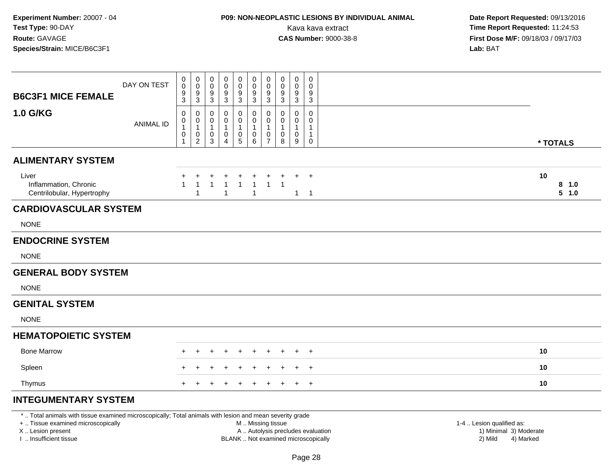# **P09: NON-NEOPLASTIC LESIONS BY INDIVIDUAL ANIMAL**

 **Date Report Requested:** 09/13/2016 Kava kava extract **Time Report Requested:** 11:24:53<br>**CAS Number:** 9000-38-8 **Time Report Requested:** 11:24:53 **First Dose M/F:** 09/18/03 / 09/17/03<br>**Lab:** BAT **Lab:** BAT

| <b>B6C3F1 MICE FEMALE</b>                                                                                                               | DAY ON TEST      | 0<br>0<br>9<br>3            | 0<br>$\pmb{0}$<br>9<br>3                                                              | 0<br>0<br>9<br>3                 | 0<br>0<br>9<br>3                            | $\mathbf 0$<br>$\pmb{0}$<br>$\frac{9}{3}$                                      | $\mathbf 0$<br>0<br>9<br>3                                     | 0<br>0<br>9<br>$\mathbf{3}$                           | 0<br>0<br>9<br>3      | 0<br>0<br>9<br>3                         | $\mathbf 0$<br>0<br>9<br>3       |                      |
|-----------------------------------------------------------------------------------------------------------------------------------------|------------------|-----------------------------|---------------------------------------------------------------------------------------|----------------------------------|---------------------------------------------|--------------------------------------------------------------------------------|----------------------------------------------------------------|-------------------------------------------------------|-----------------------|------------------------------------------|----------------------------------|----------------------|
| 1.0 G/KG                                                                                                                                | <b>ANIMAL ID</b> | 0<br>0<br>1<br>$\,0\,$<br>1 | 0<br>$\boldsymbol{0}$<br>$\mathbf{1}$<br>$\begin{smallmatrix} 0\\2 \end{smallmatrix}$ | 0<br>0<br>$\mathbf{1}$<br>0<br>3 | 0<br>0<br>-1<br>$\pmb{0}$<br>$\overline{4}$ | 0<br>$\boldsymbol{0}$<br>$\mathbf{1}$<br>$\begin{array}{c} 0 \\ 5 \end{array}$ | 0<br>0<br>$\mathbf 1$<br>$\begin{array}{c} 0 \\ 6 \end{array}$ | 0<br>0<br>$\mathbf{1}$<br>$\pmb{0}$<br>$\overline{7}$ | 0<br>0<br>1<br>0<br>8 | 0<br>0<br>$\mathbf{1}$<br>$\pmb{0}$<br>9 | 0<br>0<br>1<br>1<br>$\mathbf 0$  | * TOTALS             |
| <b>ALIMENTARY SYSTEM</b>                                                                                                                |                  |                             |                                                                                       |                                  |                                             |                                                                                |                                                                |                                                       |                       |                                          |                                  |                      |
| Liver<br>Inflammation, Chronic<br>Centrilobular, Hypertrophy                                                                            |                  | $\mathbf{1}$                | $\overline{1}$<br>1                                                                   | $\mathbf{1}$                     | $\mathbf{1}$                                | $\mathbf{1}$                                                                   | $\overline{1}$<br>1                                            | $\mathbf{1}$                                          | $\overline{1}$        | $\mathbf{1}$                             | $\overline{1}$<br>$\overline{1}$ | 10<br>8 1.0<br>5 1.0 |
| <b>CARDIOVASCULAR SYSTEM</b>                                                                                                            |                  |                             |                                                                                       |                                  |                                             |                                                                                |                                                                |                                                       |                       |                                          |                                  |                      |
| <b>NONE</b>                                                                                                                             |                  |                             |                                                                                       |                                  |                                             |                                                                                |                                                                |                                                       |                       |                                          |                                  |                      |
| <b>ENDOCRINE SYSTEM</b>                                                                                                                 |                  |                             |                                                                                       |                                  |                                             |                                                                                |                                                                |                                                       |                       |                                          |                                  |                      |
| <b>NONE</b>                                                                                                                             |                  |                             |                                                                                       |                                  |                                             |                                                                                |                                                                |                                                       |                       |                                          |                                  |                      |
| <b>GENERAL BODY SYSTEM</b>                                                                                                              |                  |                             |                                                                                       |                                  |                                             |                                                                                |                                                                |                                                       |                       |                                          |                                  |                      |
| <b>NONE</b>                                                                                                                             |                  |                             |                                                                                       |                                  |                                             |                                                                                |                                                                |                                                       |                       |                                          |                                  |                      |
| <b>GENITAL SYSTEM</b>                                                                                                                   |                  |                             |                                                                                       |                                  |                                             |                                                                                |                                                                |                                                       |                       |                                          |                                  |                      |
| <b>NONE</b>                                                                                                                             |                  |                             |                                                                                       |                                  |                                             |                                                                                |                                                                |                                                       |                       |                                          |                                  |                      |
| <b>HEMATOPOIETIC SYSTEM</b>                                                                                                             |                  |                             |                                                                                       |                                  |                                             |                                                                                |                                                                |                                                       |                       |                                          |                                  |                      |
| <b>Bone Marrow</b>                                                                                                                      |                  |                             |                                                                                       |                                  |                                             |                                                                                |                                                                |                                                       |                       |                                          | $\overline{+}$                   | 10                   |
| Spleen                                                                                                                                  |                  |                             |                                                                                       |                                  |                                             |                                                                                |                                                                |                                                       |                       |                                          | $\ddot{}$                        | 10                   |
| Thymus                                                                                                                                  |                  | $\pm$                       |                                                                                       |                                  |                                             |                                                                                |                                                                |                                                       |                       |                                          | $+$                              | 10                   |
| <b>INTEGUMENTARY SYSTEM</b><br>*  Total animals with tissue examined microscopically; Total animals with lesion and mean severity grade |                  |                             |                                                                                       |                                  |                                             |                                                                                |                                                                |                                                       |                       |                                          |                                  |                      |

+ .. Tissue examined microscopically

X .. Lesion present

I .. Insufficient tissue

M .. Missing tissue

A .. Autolysis precludes evaluation 1) Minimal 3 ... Autolysis precludes evaluation 1, and 30 ... (1) Minimal 3<br>1) Minimal 30 ... Autor microscopically 1990 ... (1) Minimal 30 ... (1) Minimal 30 ... (1) Minimal 30 ... (1)

BLANK .. Not examined microscopically 2) Mild 4) Marked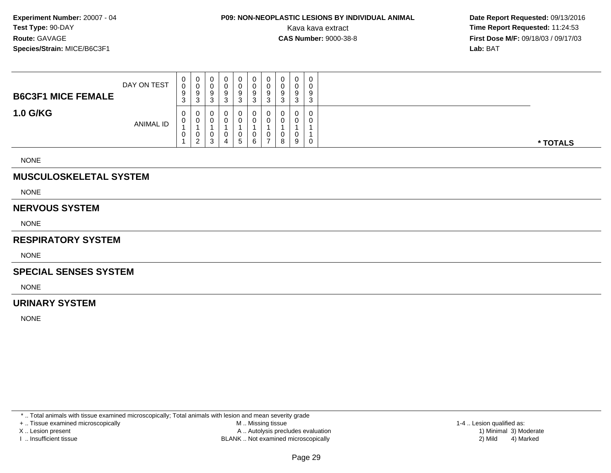## **P09: NON-NEOPLASTIC LESIONS BY INDIVIDUAL ANIMAL**

 **Date Report Requested:** 09/13/2016 Kava kava extract **Time Report Requested:** 11:24:53<br>**CAS Number:** 9000-38-8 **Time Report Requested:** 11:24:53 **First Dose M/F:** 09/18/03 / 09/17/03<br>**Lab:** BAT **Lab:** BAT

| <b>B6C3F1 MICE FEMALE</b> | DAY ON TEST | υ<br>J<br>9<br>3 | U<br>U<br>9<br>3          | U<br>9<br>3 | 0<br>ν<br>9<br>3 | 9  | υ<br>U<br>9<br>ື | 0<br>0<br>9<br>J. | 0<br>0<br>9<br>3           | 0<br>0<br>9<br>ີ<br>ັ |          |
|---------------------------|-------------|------------------|---------------------------|-------------|------------------|----|------------------|-------------------|----------------------------|-----------------------|----------|
| <b>1.0 G/KG</b>           | ANIMAL ID   | U<br>U<br>U      | U<br>υ<br>υ<br>$\epsilon$ | 0<br>3      | 0<br>0<br>0<br>4 | 5. | U<br>U<br>U      | 0<br>0<br>0<br>8  | $\mathbf 0$<br>0<br>0<br>9 | 0<br>0<br>0           | * TOTALS |

NONE

### **MUSCULOSKELETAL SYSTEM**

NONE

#### **NERVOUS SYSTEM**

NONE

### **RESPIRATORY SYSTEM**

NONE

#### **SPECIAL SENSES SYSTEM**

NONE

### **URINARY SYSTEM**

NONE

\* .. Total animals with tissue examined microscopically; Total animals with lesion and mean severity grade

+ .. Tissue examined microscopically

X .. Lesion present

I .. Insufficient tissue

 M .. Missing tissueA .. Autolysis precludes evaluation

BLANK .. Not examined microscopically 2) Mild 4) Marked

1-4 .. Lesion qualified as: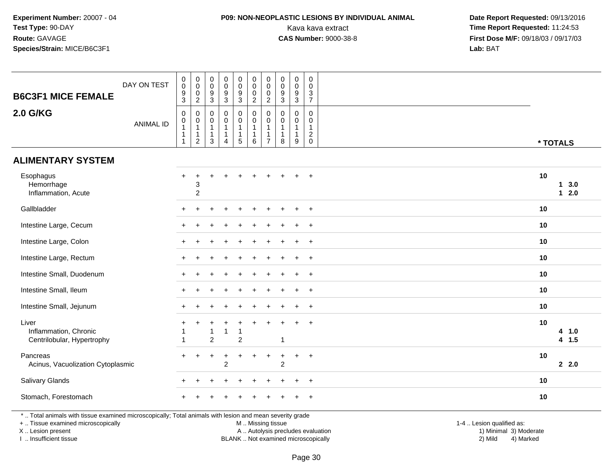### **P09: NON-NEOPLASTIC LESIONS BY INDIVIDUAL ANIMAL**

 **Date Report Requested:** 09/13/2016 Kava kava extract **Time Report Requested:** 11:24:53<br>**CAS Number:** 9000-38-8 **Time Report Requested:** 11:24:53 **First Dose M/F:** 09/18/03 / 09/17/03<br>Lab: BAT **Lab:** BAT

| <b>B6C3F1 MICE FEMALE</b>                                                                                                                      | DAY ON TEST      | $_{\rm 0}^{\rm 0}$<br>$\boldsymbol{9}$<br>$\mathbf{3}$                     | $\pmb{0}$<br>$\ddot{\mathbf{0}}$<br>$\mathsf 0$<br>$\overline{c}$  | 0<br>$\pmb{0}$<br>$\boldsymbol{9}$<br>$\ensuremath{\mathsf{3}}$ | $\pmb{0}$<br>$\ddot{\mathbf{0}}$<br>$\boldsymbol{9}$<br>$\ensuremath{\mathsf{3}}$ | $\pmb{0}$<br>$\overline{0}$<br>$\boldsymbol{9}$<br>$\mathbf{3}$   | $\pmb{0}$<br>$\ddot{\mathbf{0}}$<br>$\mathsf{O}\xspace$<br>$\overline{2}$ | $\pmb{0}$<br>$\ddot{\mathbf{0}}$<br>$\mathbf 0$<br>$\overline{2}$            | 0<br>$\pmb{0}$<br>9<br>$\sqrt{3}$ | $\pmb{0}$<br>$\pmb{0}$<br>$\boldsymbol{9}$<br>$\mathbf{3}$      | 0<br>$\mathbf 0$<br>3<br>$\overline{7}$                          |                           |                  |
|------------------------------------------------------------------------------------------------------------------------------------------------|------------------|----------------------------------------------------------------------------|--------------------------------------------------------------------|-----------------------------------------------------------------|-----------------------------------------------------------------------------------|-------------------------------------------------------------------|---------------------------------------------------------------------------|------------------------------------------------------------------------------|-----------------------------------|-----------------------------------------------------------------|------------------------------------------------------------------|---------------------------|------------------|
| <b>2.0 G/KG</b>                                                                                                                                | <b>ANIMAL ID</b> | $\pmb{0}$<br>$\pmb{0}$<br>$\mathbf{1}$<br>$\overline{1}$<br>$\overline{1}$ | 0<br>$\mathbf 0$<br>$\mathbf{1}$<br>$\mathbf{1}$<br>$\overline{2}$ | 0<br>0<br>$\mathbf{1}$<br>1<br>$\mathbf{3}$                     | $\mathbf 0$<br>$\mathbf 0$<br>$\mathbf{1}$<br>$\mathbf{1}$<br>$\overline{4}$      | $\mathsf{O}$<br>$\mathsf{O}$<br>$\mathbf{1}$<br>$\mathbf{1}$<br>5 | 0<br>0<br>$\mathbf{1}$<br>$\mathbf{1}$<br>$\,6\,$                         | $\mathbf 0$<br>$\mathbf 0$<br>$\mathbf{1}$<br>$\mathbf{1}$<br>$\overline{7}$ | 0<br>0<br>$\mathbf{1}$<br>-1<br>8 | $\mathbf 0$<br>$\mathbf 0$<br>$\mathbf{1}$<br>$\mathbf{1}$<br>9 | $\mathbf 0$<br>$\mathbf 0$<br>1<br>$\overline{a}$<br>$\mathbf 0$ |                           | * TOTALS         |
| <b>ALIMENTARY SYSTEM</b>                                                                                                                       |                  |                                                                            |                                                                    |                                                                 |                                                                                   |                                                                   |                                                                           |                                                                              |                                   |                                                                 |                                                                  |                           |                  |
| Esophagus<br>Hemorrhage<br>Inflammation, Acute                                                                                                 |                  | $+$                                                                        | $\ddot{}$<br>3<br>$\overline{2}$                                   |                                                                 |                                                                                   |                                                                   |                                                                           |                                                                              |                                   |                                                                 | $\ddot{}$                                                        | 10                        | 13.0<br>$12.0$   |
| Gallbladder                                                                                                                                    |                  | $+$                                                                        |                                                                    |                                                                 |                                                                                   | $\ddot{}$                                                         |                                                                           |                                                                              |                                   |                                                                 | $+$                                                              | 10                        |                  |
| Intestine Large, Cecum                                                                                                                         |                  |                                                                            |                                                                    |                                                                 |                                                                                   |                                                                   |                                                                           |                                                                              |                                   |                                                                 |                                                                  | 10                        |                  |
| Intestine Large, Colon                                                                                                                         |                  |                                                                            |                                                                    |                                                                 |                                                                                   |                                                                   |                                                                           |                                                                              |                                   |                                                                 | $^{+}$                                                           | 10                        |                  |
| Intestine Large, Rectum                                                                                                                        |                  |                                                                            |                                                                    |                                                                 |                                                                                   |                                                                   |                                                                           |                                                                              |                                   |                                                                 | $\ddot{}$                                                        | 10                        |                  |
| Intestine Small, Duodenum                                                                                                                      |                  |                                                                            |                                                                    |                                                                 |                                                                                   |                                                                   |                                                                           |                                                                              |                                   |                                                                 | $\overline{1}$                                                   | 10                        |                  |
| Intestine Small, Ileum                                                                                                                         |                  |                                                                            |                                                                    |                                                                 |                                                                                   |                                                                   |                                                                           |                                                                              |                                   |                                                                 | $\ddot{}$                                                        | 10                        |                  |
| Intestine Small, Jejunum                                                                                                                       |                  |                                                                            |                                                                    |                                                                 |                                                                                   |                                                                   |                                                                           |                                                                              |                                   |                                                                 | $\ddot{}$                                                        | 10                        |                  |
| Liver<br>Inflammation, Chronic<br>Centrilobular, Hypertrophy                                                                                   |                  | $\overline{1}$                                                             |                                                                    | 1<br>$\overline{c}$                                             | $\mathbf{1}$                                                                      | -1<br>$\overline{2}$                                              |                                                                           |                                                                              | -1                                |                                                                 | $\ddot{}$                                                        | 10                        | 4 1.0<br>$4$ 1.5 |
| Pancreas<br>Acinus, Vacuolization Cytoplasmic                                                                                                  |                  |                                                                            | $\ddot{}$                                                          | $\ddot{}$                                                       | 2                                                                                 | $\ddot{}$                                                         | $\ddot{}$                                                                 | $\overline{ }$                                                               | $\ddot{}$<br>2                    | $+$                                                             | $+$                                                              | 10                        | 22.0             |
| Salivary Glands                                                                                                                                |                  |                                                                            |                                                                    |                                                                 |                                                                                   |                                                                   |                                                                           |                                                                              |                                   |                                                                 | $\ddot{}$                                                        | 10                        |                  |
| Stomach, Forestomach                                                                                                                           |                  |                                                                            |                                                                    |                                                                 |                                                                                   |                                                                   |                                                                           |                                                                              |                                   |                                                                 | $\overline{1}$                                                   | 10                        |                  |
| *  Total animals with tissue examined microscopically; Total animals with lesion and mean severity grade<br>+  Tissue examined microscopically |                  |                                                                            |                                                                    |                                                                 |                                                                                   |                                                                   | M  Missing tissue                                                         |                                                                              |                                   |                                                                 |                                                                  | 1-4  Lesion qualified as: |                  |

X .. Lesion present

I .. Insufficient tissue

BLANK .. Not examined microscopically

A .. Autolysis precludes evaluation and the series of the series of the series of the series of the series of the series of the series of the series of the series of the series of the series of the series of the series of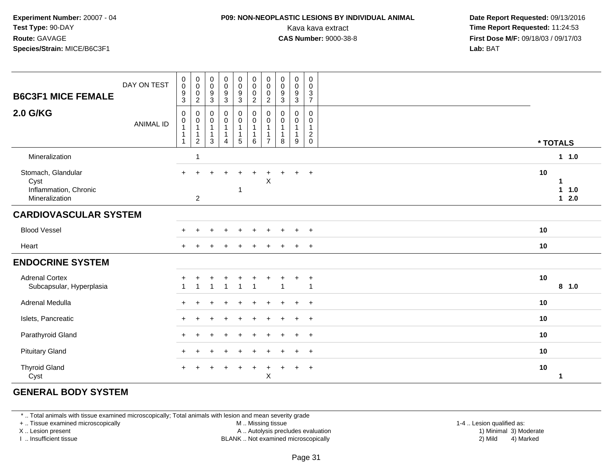### **P09: NON-NEOPLASTIC LESIONS BY INDIVIDUAL ANIMAL**

 **Date Report Requested:** 09/13/2016 Kava kava extract **Time Report Requested:** 11:24:53<br>**CAS Number:** 9000-38-8 **Time Report Requested:** 11:24:53 **First Dose M/F:** 09/18/03 / 09/17/03<br>**Lab:** BAT **Lab:** BAT

| <b>B6C3F1 MICE FEMALE</b>                                             | DAY ON TEST      | $_{\rm 0}^{\rm 0}$<br>$\frac{9}{3}$                                      | $\pmb{0}$<br>$\mathbf 0$<br>$\pmb{0}$<br>2                             | $\begin{smallmatrix} 0\\0 \end{smallmatrix}$<br>$\frac{9}{3}$            | $\pmb{0}$<br>$\pmb{0}$<br>$\frac{9}{3}$                                   | $\begin{array}{c} 0 \\ 0 \\ 9 \\ 3 \end{array}$                | $\pmb{0}$<br>$\pmb{0}$<br>$\pmb{0}$<br>$\overline{2}$      | $\mathbf 0$<br>$\mathbf 0$<br>$\mathbf 0$<br>$\overline{2}$ | $\mathbf 0$<br>$\pmb{0}$<br>$\boldsymbol{9}$<br>3    | $\pmb{0}$<br>$\pmb{0}$<br>$\boldsymbol{9}$<br>3 | $\pmb{0}$<br>$\mathbf 0$<br>$\frac{3}{7}$        |                                           |  |
|-----------------------------------------------------------------------|------------------|--------------------------------------------------------------------------|------------------------------------------------------------------------|--------------------------------------------------------------------------|---------------------------------------------------------------------------|----------------------------------------------------------------|------------------------------------------------------------|-------------------------------------------------------------|------------------------------------------------------|-------------------------------------------------|--------------------------------------------------|-------------------------------------------|--|
| <b>2.0 G/KG</b>                                                       | <b>ANIMAL ID</b> | $\mathbf 0$<br>$\pmb{0}$<br>$\mathbf{1}$<br>$\mathbf{1}$<br>$\mathbf{1}$ | $\mathbf 0$<br>$\pmb{0}$<br>$\mathbf{1}$<br>$\mathbf{1}$<br>$\sqrt{2}$ | $\pmb{0}$<br>$\pmb{0}$<br>$\overline{1}$<br>$\mathbf{1}$<br>$\mathbf{3}$ | $\mathbf 0$<br>$\mathsf{O}\xspace$<br>$\mathbf{1}$<br>1<br>$\overline{4}$ | $\begin{matrix} 0 \\ 0 \\ 1 \end{matrix}$<br>$\mathbf{1}$<br>5 | $\pmb{0}$<br>$\pmb{0}$<br>$\mathbf{1}$<br>$\mathbf 1$<br>6 | $\mathbf 0$<br>0<br>$\overline{1}$                          | 0<br>$\mathbf 0$<br>$\mathbf{1}$<br>$\mathbf 1$<br>8 | 0<br>$\mathbf 0$<br>$\mathbf{1}$<br>9           | 0<br>$\mathbf 0$<br>$\mathbf{1}$<br>$^2_{\rm 0}$ | * TOTALS                                  |  |
| Mineralization                                                        |                  |                                                                          |                                                                        |                                                                          |                                                                           |                                                                |                                                            |                                                             |                                                      |                                                 |                                                  | 1 1.0                                     |  |
| Stomach, Glandular<br>Cyst<br>Inflammation, Chronic<br>Mineralization |                  | $+$                                                                      | $\overline{2}$                                                         |                                                                          |                                                                           | 1                                                              |                                                            | X                                                           |                                                      | ÷                                               | $\ddot{}$                                        | 10<br>-1<br>$\mathbf{1}$<br>1.0<br>$12.0$ |  |
| <b>CARDIOVASCULAR SYSTEM</b>                                          |                  |                                                                          |                                                                        |                                                                          |                                                                           |                                                                |                                                            |                                                             |                                                      |                                                 |                                                  |                                           |  |
| <b>Blood Vessel</b>                                                   |                  |                                                                          |                                                                        |                                                                          |                                                                           |                                                                |                                                            |                                                             |                                                      |                                                 | $\div$                                           | 10                                        |  |
| Heart                                                                 |                  | $+$                                                                      |                                                                        |                                                                          |                                                                           |                                                                |                                                            |                                                             |                                                      | $\div$                                          | $\overline{+}$                                   | 10                                        |  |
| <b>ENDOCRINE SYSTEM</b>                                               |                  |                                                                          |                                                                        |                                                                          |                                                                           |                                                                |                                                            |                                                             |                                                      |                                                 |                                                  |                                           |  |
| <b>Adrenal Cortex</b><br>Subcapsular, Hyperplasia                     |                  |                                                                          |                                                                        | $\overline{1}$                                                           | $\ddot{}$<br>1                                                            | 1                                                              | $\ddot{}$<br>$\overline{1}$                                |                                                             |                                                      | $\ddot{}$                                       | $\overline{+}$<br>1                              | 10<br>8 1.0                               |  |
| Adrenal Medulla                                                       |                  | $\div$                                                                   |                                                                        |                                                                          |                                                                           |                                                                |                                                            |                                                             |                                                      |                                                 | $\div$                                           | 10                                        |  |
| Islets, Pancreatic                                                    |                  |                                                                          |                                                                        |                                                                          |                                                                           |                                                                |                                                            |                                                             |                                                      |                                                 | $\overline{+}$                                   | 10                                        |  |
| Parathyroid Gland                                                     |                  | $\div$                                                                   |                                                                        |                                                                          |                                                                           |                                                                |                                                            |                                                             |                                                      |                                                 | $\ddot{}$                                        | 10                                        |  |
| <b>Pituitary Gland</b>                                                |                  | $\div$                                                                   |                                                                        |                                                                          |                                                                           |                                                                |                                                            |                                                             |                                                      | ÷                                               | $\overline{+}$                                   | 10                                        |  |
| <b>Thyroid Gland</b><br>Cyst                                          |                  | $\div$                                                                   |                                                                        |                                                                          |                                                                           |                                                                | $\ddot{}$                                                  | X                                                           |                                                      | $\ddot{}$                                       | $\ddot{}$                                        | $10$<br>-1                                |  |

### **GENERAL BODY SYSTEM**

\* .. Total animals with tissue examined microscopically; Total animals with lesion and mean severity grade

+ .. Tissue examined microscopically

X .. Lesion present

I .. Insufficient tissue

 M .. Missing tissueA .. Autolysis precludes evaluation

1-4 .. Lesion qualified as:<br>1) Minimal 3) Moderate BLANK .. Not examined microscopically 2) Mild 4) Marked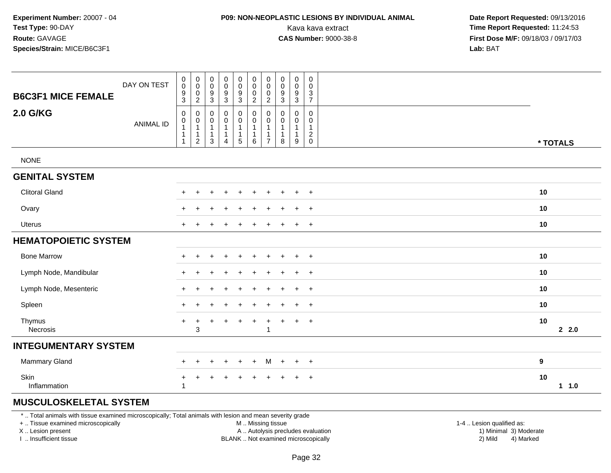## **P09: NON-NEOPLASTIC LESIONS BY INDIVIDUAL ANIMAL**

 **Date Report Requested:** 09/13/2016 Kava kava extract **Time Report Requested:** 11:24:53<br>**CAS Number:** 9000-38-8 **Time Report Requested:** 11:24:53 **First Dose M/F:** 09/18/03 / 09/17/03<br>**Lab:** BAT **Lab:** BAT

| <b>B6C3F1 MICE FEMALE</b>   | DAY ON TEST      | $\pmb{0}$<br>$\mathsf{O}\xspace$<br>$\boldsymbol{9}$<br>$\mathbf{3}$ | 0<br>$\mathbf 0$<br>$\pmb{0}$<br>$\overline{2}$ | $_{\rm 0}^{\rm 0}$<br>$\boldsymbol{9}$<br>$\mathfrak{Z}$ | $\pmb{0}$<br>$\mathsf{O}\xspace$<br>$\overline{9}$<br>$\mathbf{3}$ | $\pmb{0}$<br>$\frac{0}{9}$<br>3                                                    | $\boldsymbol{0}$<br>$\mathbf 0$<br>$\pmb{0}$<br>$\overline{2}$            | $\pmb{0}$<br>$\mathbf 0$<br>$\pmb{0}$<br>2              | $\pmb{0}$<br>$\pmb{0}$<br>$\boldsymbol{9}$<br>$\mathbf{3}$ | $\begin{smallmatrix}0\0\0\end{smallmatrix}$<br>$\boldsymbol{9}$<br>3 | $\pmb{0}$<br>$\mathbf 0$<br>$\mathbf{3}$<br>$\overline{7}$ |             |
|-----------------------------|------------------|----------------------------------------------------------------------|-------------------------------------------------|----------------------------------------------------------|--------------------------------------------------------------------|------------------------------------------------------------------------------------|---------------------------------------------------------------------------|---------------------------------------------------------|------------------------------------------------------------|----------------------------------------------------------------------|------------------------------------------------------------|-------------|
| <b>2.0 G/KG</b>             | <b>ANIMAL ID</b> | $\mathsf 0$<br>0<br>$\mathbf{1}$<br>$\mathbf{1}$<br>$\mathbf{1}$     | 0<br>$\mathbf 0$<br>1<br>1<br>$\overline{c}$    | $\mathbf 0$<br>0<br>$\mathbf{1}$<br>$\mathbf{1}$<br>3    | $\pmb{0}$<br>$\boldsymbol{0}$<br>$\mathbf{1}$<br>$\mathbf{1}$<br>4 | $\boldsymbol{0}$<br>$\mathsf 0$<br>$\mathbf{1}$<br>$\mathbf{1}$<br>$5\phantom{.0}$ | $\mathbf 0$<br>$\mathbf 0$<br>$\overline{1}$<br>$\overline{1}$<br>$\,6\,$ | $\mathbf 0$<br>0<br>1<br>$\mathbf{1}$<br>$\overline{7}$ | 0<br>0<br>$\mathbf{1}$<br>$\mathbf{1}$<br>8                | $\mathsf{O}$<br>0<br>$\mathbf{1}$<br>$\mathbf{1}$<br>9               | 0<br>0<br>$\mathbf{1}$<br>$\overline{c}$<br>$\mathbf 0$    | * TOTALS    |
| <b>NONE</b>                 |                  |                                                                      |                                                 |                                                          |                                                                    |                                                                                    |                                                                           |                                                         |                                                            |                                                                      |                                                            |             |
| <b>GENITAL SYSTEM</b>       |                  |                                                                      |                                                 |                                                          |                                                                    |                                                                                    |                                                                           |                                                         |                                                            |                                                                      |                                                            |             |
| <b>Clitoral Gland</b>       |                  | $+$                                                                  | $\ddot{}$                                       |                                                          | $\div$                                                             | $\div$                                                                             |                                                                           |                                                         |                                                            | $+$                                                                  | $+$                                                        | 10          |
| Ovary                       |                  | $\div$                                                               |                                                 |                                                          |                                                                    |                                                                                    |                                                                           |                                                         |                                                            | $\overline{+}$                                                       | $+$                                                        | 10          |
| <b>Uterus</b>               |                  |                                                                      |                                                 |                                                          |                                                                    |                                                                                    |                                                                           |                                                         |                                                            | $+$                                                                  | $+$                                                        | 10          |
| <b>HEMATOPOIETIC SYSTEM</b> |                  |                                                                      |                                                 |                                                          |                                                                    |                                                                                    |                                                                           |                                                         |                                                            |                                                                      |                                                            |             |
| <b>Bone Marrow</b>          |                  |                                                                      |                                                 |                                                          | $\overline{ }$                                                     | $\pm$                                                                              | $\pm$                                                                     | $\ddot{}$                                               | $\pm$                                                      | $\ddot{}$                                                            | $+$                                                        | 10          |
| Lymph Node, Mandibular      |                  |                                                                      |                                                 |                                                          |                                                                    |                                                                                    |                                                                           |                                                         |                                                            | $+$                                                                  | $+$                                                        | 10          |
| Lymph Node, Mesenteric      |                  | $+$                                                                  |                                                 |                                                          |                                                                    |                                                                                    |                                                                           |                                                         |                                                            | $\ddot{}$                                                            | $+$                                                        | 10          |
| Spleen                      |                  | $+$                                                                  | $\div$                                          |                                                          |                                                                    |                                                                                    |                                                                           |                                                         |                                                            | $\ddot{}$                                                            | $+$                                                        | 10          |
| Thymus<br>Necrosis          |                  | $\ddot{}$                                                            | $\ddot{}$<br>3                                  |                                                          | $\ddot{}$                                                          | $\ddot{}$                                                                          | $\ddot{}$                                                                 | $\ddot{}$<br>1                                          | $\ddot{}$                                                  | $+$                                                                  | $+$                                                        | 10<br>22.0  |
| <b>INTEGUMENTARY SYSTEM</b> |                  |                                                                      |                                                 |                                                          |                                                                    |                                                                                    |                                                                           |                                                         |                                                            |                                                                      |                                                            |             |
| <b>Mammary Gland</b>        |                  | $+$                                                                  | $\ddot{}$                                       | $\pm$                                                    | $\ddot{}$                                                          | $+$                                                                                | $+$                                                                       | M                                                       | $+$                                                        | $+$                                                                  | $+$                                                        | 9           |
| Skin<br>Inflammation        |                  | +<br>$\overline{1}$                                                  | ٠                                               |                                                          | $\pm$                                                              | ٠                                                                                  |                                                                           |                                                         |                                                            | $\overline{+}$                                                       | $+$                                                        | 10<br>1 1.0 |

### **MUSCULOSKELETAL SYSTEM**

\* .. Total animals with tissue examined microscopically; Total animals with lesion and mean severity grade

+ .. Tissue examined microscopically

X .. Lesion present

I .. Insufficient tissue

M .. Missing tissue

A .. Autolysis precludes evaluation

BLANK .. Not examined microscopically 2) Mild 4) Marked